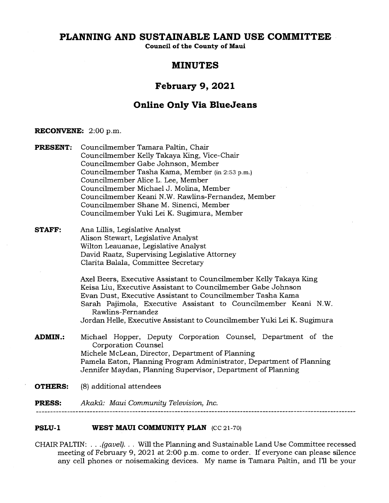# **PLANNING AND SUSTAINABLE LAND USE COMMITTEE**

**Council of the County of Maui** 

# **MINUTES**

# **February 9, 2021**

# **Online Only Via BlueJeans**

#### **RECONVENE:** 2:00 p.m.

**PRESENT:** Councilmember Tamara Paltin, Chair Councilmember Kelly Takaya King, Vice-Chair Councilmember Gabe Johnson, Member Councilmember Tasha Kama, Member (in 2:53 p.m.) Councilmember Alice L. Lee, Member Councilmember Michael J. Molina, Member Councilmember Keani N.W. Rawlins-Fernandez, Member Councilmember Shane M. Sinenci, Member Councilmember Yuki Lei K. Sugimura, Member

## **STAFF:** Ana Lillis, Legislative Analyst Alison Stewart, Legislative Analyst Wilton Leauanae, Legislative Analyst David Raatz, Supervising Legislative Attorney Clarita Balala, Committee Secretary

Axel Beers, Executive Assistant to Councilmember Kelly Takaya King Keisa Liu, Executive Assistant to Councilmember Gabe Johnson Evan Dust, Executive Assistant to Councilmember Tasha Kama Sarah Pajimola, Executive Assistant to Councilmember Keani N.W. Rawlins-Fernandez Jordan Helle, Executive Assistant to Councilmember Yuki Lei K. Sugimura

# **ADMIN.:** Michael Hopper, Deputy Corporation Counsel, Department of the Corporation Counsel Michele McLean, Director, Department of Planning Pamela Eaton, Planning Program Administrator, Department of Planning Jennifer Maydan, Planning Supervisor, Department of Planning

**OTHERS:** (8) additional attendees

**PRESS:** Akaku: *Maui Community Television, Inc.* 

### **PSLU-1 WEST MAUI COMMUNITY PLAN (cc 21-70)**

CHAIR PALTIN: . . . *(gavel). . .* Will the Planning and Sustainable Land Use Committee recessed meeting of February 9, 2021 at 2:00 p.m. come to order. If everyone can please silence any cell phones or noisemaking devices. My name is Tamara Paltin, and I'll be your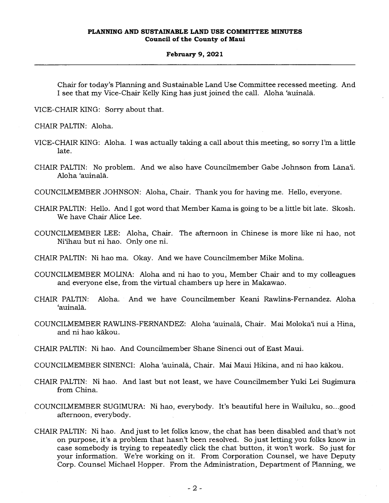Chair for today's Planning and Sustainable Land Use Committee recessed meeting. And I see that my Vice-Chair Kelly King has just joined the call. Aloha 'auinala.

VICE-CHAIR KING: Sorry about that.

CHAIR PALTIN: Aloha.

- VICE-CHAIR KING: Aloha. I was actually taking a call about this meeting, so sorry I'm a little late.
- CHAIR PALTIN: No problem. And we also have Councilmember Gabe Johnson from Lāna'i. Aloha 'auinala.

COUNCILMEMBER JOHNSON: Aloha, Chair. Thank you for having me. Hello, everyone.

- CHAIR PALTIN: Hello. And I got word that Member Kama is going to be a little bit late. Skosh. We have Chair Alice Lee.
- COUNCILMEMBER LEE: Aloha, Chair. The afternoon in Chinese is more like ni hao, not Ni`ihau but ni hao. Only one ni.
- CHAIR PALTIN: Ni hao ma. Okay. And we have Councilmember Mike Molina.
- COUNCILMEMBER MOLINA: Aloha and ni hao to you, Member Chair and to my colleagues and everyone else, from the virtual chambers up here in Makawao.
- CHAIR PALTIN: Aloha. And we have Councilmember Keani Rawlins-Fernandez. Aloha `auinala.
- COUNCILMEMBER RAWLINS-FERNANDEZ: Aloha 'auinala, Chair. Mai Molokai nui a Hina, and ni hao kakou.
- CHAIR PALTIN: Ni hao. And Councilmember Shane Sinenci out of East Maui.
- COUNCILMEMBER SINENCI: Aloha 'auinala, Chair. Mai Maui Hikina, and ni hao kakou.
- CHAIR PALTIN: Ni hao. And last but not least, we have Councilmember Yuki Lei Sugimura from China.
- COUNCILMEMBER SUGIMURA: Ni hao, everybody. It's beautiful here in Wailuku, so...good afternoon, everybody.
- CHAIR PALTIN: Ni hao. And just to let folks know, the chat has been disabled and that's not on purpose, it's a problem that hasn't been resolved. So just letting you folks know in case somebody is trying to repeatedly click the chat button, it won't work. So just for your information. We're working on it. From Corporation Counsel, we have Deputy Corp. Counsel Michael Hopper. From the Administration, Department of Planning, we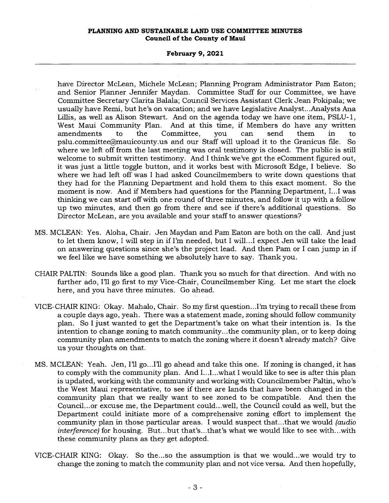### **February 9, 2021**

have Director McLean, Michele McLean; Planning Program Administrator Pam Eaton; and Senior Planner Jennifer Maydan. Committee Staff for our Committee, we have Committee Secretary Clarita Balala; Council Services Assistant Clerk Jean Pokipala; we usually have Remi, but he's on vacation; and we have Legislative Analyst...Analysts Ana Lillis, as well as Alison Stewart. And on the agenda today we have one item, PSLU-1, West Maui Community Plan. And at this time, if Members do have any written west made Community Fian. And at this time, it members do have any written<br>amendments to the Committee, you can send them in to pslu.committee@mauicounty.usand our Staff will upload it to the Granicus file. So where we left off from the last meeting was oral testimony is closed. The public is still welcome to submit written testimony. And I think we've got the eComment figured out, it was just a little toggle button, and it works best with Microsoft Edge, I believe. So where we had left off was I had asked Councilmembers to write down questions that they had for the Planning Department and hold them to this exact moment. So the moment is now. And if Members had questions for the Planning Department, I...I was thinking we can start off with one round of three minutes, and follow it up with a follow up two minutes, and then go from there and see if there's additional questions. So Director McLean, are you available and your staff to answer questions?

- MS. MCLEAN: Yes. Aloha, Chair. Jen Maydan and Pam Eaton are both on the call. And just to let them know, I will step in if I'm needed, but I will...I expect Jen will take the lead on answering questions since she's the project lead. And then Pam or I can jump in if we feel like we have something we absolutely have to say. Thank you.
- CHAIR PALTIN: Sounds like a good plan. Thank you so much for that direction. And with no further ado, I'll go first to my Vice-Chair, Councilmember King. Let me start the clock here, and you have three minutes. Go ahead.
- VICE-CHAIR KING: Okay. Mahalo, Chair. So my first question...I'm trying to recall these from a couple days ago, yeah. There was a statement made, zoning should follow community plan. So I just wanted to get the Department's take on what their intention is. Is the intention to change zoning to match community...the community plan, or to keep doing community plan amendments to match the zoning where it doesn't already match? Give us your thoughts on that.
- MS. MCLEAN: Yeah. Jen, I'll go...I'll go ahead and take this one. If zoning is changed, it has to comply with the community plan. And I...I...what I would like to see is after this plan is updated, working with the community and working with Councilmember Paltin, who's the West Maui representative, to see if there are lands that have been changed in the community plan that we really want to see zoned to be compatible. And then the Council...or excuse me, the Department could...well, the Council could as well, but the Department could initiate more of a comprehensive zoning effort to implement the community plan in those particular areas. I would suspect that...that we would *(audio interference)* for housing. But...but that's...that's what we would like to see with...with these community plans as they get adopted.
- VICE-CHAIR KING: Okay. So the...so the assumption is that we would...we would try to change the zoning to match the community plan and not vice versa. And then hopefully,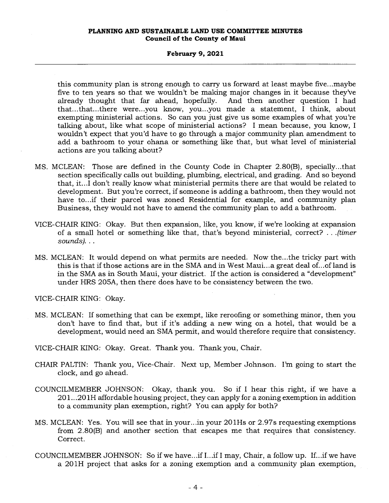#### **February 9, 2021**

this community plan is strong enough to carry us forward at least maybe five...maybe five to ten years so that we wouldn't be making major changes in it because they've already thought that far ahead, hopefully. And then another question I had that...that...there were...you know, you...you made a statement, I think, about exempting ministerial actions. So can you just give us some examples of what you're talking about, like what scope of ministerial actions? I mean because, you know, I wouldn't expect that you'd have to go through a major community plan amendment to add a bathroom to your ohana or something like that, but what level of ministerial actions are you talking about?

- MS. MCLEAN: Those are defined in the County Code in Chapter 2.80(B), specially...that section specifically calls out building, plumbing, electrical, and grading. And so beyond that, it...I don't really know what ministerial permits there are that would be related to development. But you're correct, if someone is adding a bathroom, then they would not have to...if their parcel was zoned Residential for example, and community plan Business, they would not have to amend the community plan to add a bathroom.
- VICE-CHAIR KING: Okay. But then expansion, like, you know, if we're looking at expansion of a small hotel or something like that, that's beyond ministerial, correct? . . *.(timer sounds).. .*
- MS. MCLEAN: It would depend on what permits are needed. Now the...the tricky part with this is that if those actions are in the SMA and in West Maui...a great deal of...of land is in the SMA as in South Maui, your district. If the action is considered a "development" under HRS 205A, then there does have to be consistency between the two.

VICE-CHAIR KING: Okay.

- MS. MCLEAN: If something that can be exempt, like reroofing or something minor, then you don't have to find that, but if it's adding a new wing on a hotel, that would be a development, would need an SMA permit, and would therefore require that consistency.
- VICE-CHAIR KING: Okay. Great. Thank you. Thank you, Chair.
- CHAIR PALTIN: Thank you, Vice-Chair. Next up, Member Johnson. I'm going to start the clock, and go ahead.
- COUNCILMEMBER JOHNSON: Okay, thank you. So if I hear this right, if we have a 201...201H affordable housing project, they can apply for a zoning exemption in addition to a community plan exemption, right? You can apply for both?
- MS. MCLEAN: Yes. You will see that in your...in your 201Hs or 2.97s requesting exemptions from 2.80(B) and another section that escapes me that requires that consistency. Correct.
- COUNCILMEMBER JOHNSON: So if we have...if I...if I may, Chair, a follow up. If...if we have a 201H project that asks for a zoning exemption and a community plan exemption,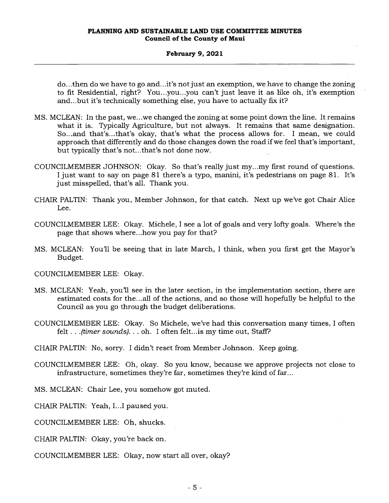do...then do we have to go and...it's not just an exemption, we have to change the zoning to fit Residential, right? You...you...you can't just leave it as like oh, it's exemption and...but it's technically something else, you have to actually fix it?

- MS. MCLEAN: In the past, we...we changed the zoning at some point down the line. It remains what it is. Typically Agriculture, but not always. It remains that same designation. So...and that's...that's okay, that's what the process allows for. I mean, we could approach that differently and do those changes down the road if we feel that's important, but typically that's not...that's not done now.
- COUNCILMEMBER JOHNSON: Okay. So that's really just my...my first round of questions. I just want to say on page 81 there's a typo, manini, it's pedestrians on page 81. It's just misspelled, that's all. Thank you.
- CHAIR PALTIN: Thank you, Member Johnson, for that catch. Next up we've got Chair Alice Lee.
- COUNCILMEMBER LEE: Okay. Michele, I see a lot of goals and very lofty goals. Where's the page that shows where...how you pay for that?
- MS. MCLEAN: You'll be seeing that in late March, I think, when you first get the Mayor's Budget.

COUNCILMEMBER LEE: Okay.

- MS. MCLEAN: Yeah, you'll see in the later section, in the implementation section, there are estimated costs for the...all of the actions, and so those will hopefully be helpful to the Council as you go through the budget deliberations.
- COUNCILMEMBER LEE: Okay. So Michele, we've had this conversation many times, I often felt . . *.(timer sounds). . .* oh. I often felt...is my time out, Staff?
- CHAIR PALTIN: No, sorry. I didn't reset from Member Johnson. Keep going.
- COUNCILMEMBER LEE: Oh, okay. So you know, because we approve projects not close to infrastructure, sometimes they're far, sometimes they're kind of far...

MS. MCLEAN: Chair Lee, you somehow got muted.

CHAIR PALTIN: Yeah, I...I paused you.

COUNCILMEMBER LEE: Oh, shucks.

CHAIR PALTIN: Okay, you're back on.

COUNCILMEMBER LEE: Okay, now start all over, okay?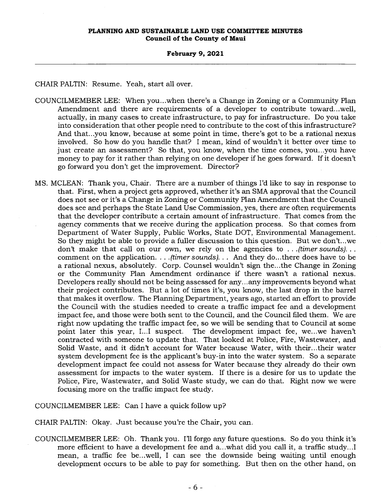#### **February 9, 2021**

CHAIR PALTIN: Resume. Yeah, start all over.

- COUNCILMEMBER LEE: When you...when there's a Change in Zoning or a Community Plan Amendment and there are requirements of a developer to contribute toward...well, actually, in many cases to create infrastructure, to pay for infrastructure. Do you take into consideration that other people need to contribute to the cost of this infrastructure? And that...you know, because at some point in time, there's got to be a rational nexus involved. So how do you handle that? I mean, kind of wouldn't it better over time to just create an assessment? So that, you know, when the time comes, you...you have money to pay for it rather than relying on one developer if he goes forward. If it doesn't go forward you don't get the improvement. Director?
- MS. MCLEAN: Thank you, Chair. There are a number of things I'd like to say in response to that. First, when a project gets approved, whether it's an SMA approval that the Council does not see or it's a Change in Zoning or Community Plan Amendment that the Council does see and perhaps the State Land Use Commission, yes, there are often requirements that the developer contribute a certain amount of infrastructure. That comes from the agency comments that we receive during the application process. So that comes from Department of Water Supply, Public Works, State DOT, Environmental Management. So they might be able to provide a fuller discussion to this question. But we don't...we don't make that call on our own, we rely on the agencies to *. . (timer sounds)..*  comment on the application. . . *. (timer sounds). . .* And they do...there does have to be a rational nexus, absolutely. Corp. Counsel wouldn't sign the...the Change in Zoning or the Community Plan Amendment ordinance if there wasn't a rational nexus. Developers really should not be being assessed for any...any improvements beyond what their project contributes. But a lot of times it's, you know, the last drop in the barrel that makes it overflow. The Planning Department, years ago, started an effort to provide the Council with the studies needed to create a traffic impact fee and a development impact fee, and those were both sent to the Council, and the Council filed them. We are right now updating the traffic impact fee, so we will be sending that to Council at some point later this year, I...I suspect. The development impact fee, we...we haven't contracted with someone to update that. That looked at Police, Fire, Wastewater, and Solid Waste, and it didn't account for Water because Water, with their...their water system development fee is the applicant's buy-in into the water system. So a separate development impact fee could not assess for Water because they already do their own assessment for impacts to the water system. If there is a desire for us to update the Police, Fire, Wastewater, and Solid Waste study, we can do that. Right now we were focusing more on the traffic impact fee study.

COUNCILMEMBER LEE: Can I have a quick follow up?

CHAIR PALTIN: Okay. Just because you're the Chair, you can.

COUNCILMEMBER LEE: Oh. Thank you. I'll forgo any future questions. So do you think it's more efficient to have a development fee and a...what did you call it, a traffic study...I mean, a traffic fee be...well, I can see the downside being waiting until enough development occurs to be able to pay for something. But then on the other hand, on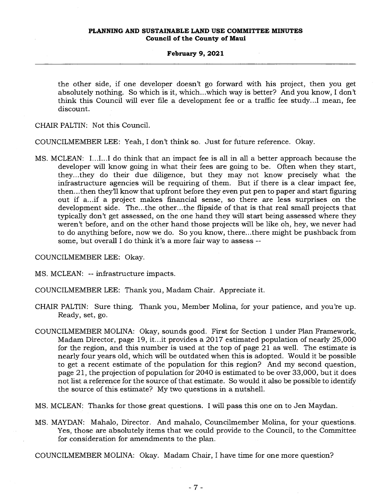the other side, if one developer doesn't go forward with his project, then you get absolutely nothing. So which is it, which...which way is better? And you know, I don't think this Council will ever file a development fee or a traffic fee study...I mean, fee discount.

CHAIR PALTIN: Not this Council.

COUNCILMEMBER LEE: Yeah, I don't think so. Just for future reference. Okay.

MS. MCLEAN: do think that an impact fee is all in all a better approach because the developer will know going in what their fees are going to be. Often when they start, they...they do their due diligence, but they may not know precisely what the infrastructure agencies will be requiring of them. But if there is a clear impact fee, then...then they'll know that upfront before they even put pen to paper and start figuring out if a...if a project makes financial sense, so there are less surprises on the development side. The...the other...the flipside of that is that real small projects that typically don't get assessed, on the one hand they will start being assessed where they weren't before, and on the other hand those projects will be like oh, hey, we never had to do anything before, now we do. So you know, there...there might be pushback from some, but overall I do think it's a more fair way to assess --

COUNCILMEMBER LEE: Okay.

MS. MCLEAN: -- infrastructure impacts.

COUNCILMEMBER LEE: Thank you, Madam Chair. Appreciate it.

- CHAIR PALTIN: Sure thing. Thank you, Member Molina, for your patience, and you're up. Ready, set, go.
- COUNCILMEMBER MOLINA: Okay, sounds good. First for Section 1 under Plan Framework, Madam Director, page 19, it...it provides a 2017 estimated population of nearly 25,000 for the region, and this number is used at the top of page 21 as well. The estimate is nearly four years old, which will be outdated when this is adopted. Would it be possible to get a recent estimate of the population for this region? And my second question, page 21, the projection of population for 2040 is estimated to be over 33,000, but it does not list a reference for the source of that estimate. So would it also be possible to identify the source of this estimate? My two questions in a nutshell.
- MS. MCLEAN: Thanks for those great questions. I will pass this one on to Jen Maydan.
- MS. MAYDAN: Mahalo, Director. And mahalo, Councilmember Molina, for your questions. Yes, those are absolutely items that we could provide to the Council, to the Committee for consideration for amendments to the plan.
- COUNCILMEMBER MOLINA: Okay. Madam Chair, I have time for one more question?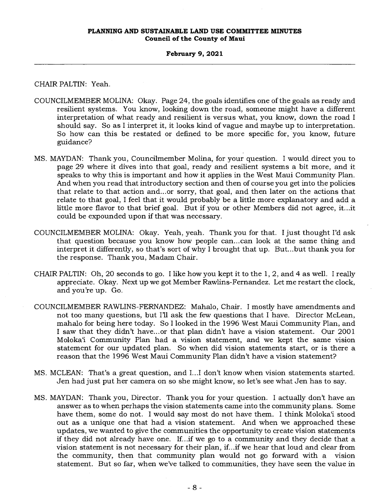### **February 9, 2021**

CHAIR PALTIN: Yeah.

- COUNCILMEMBER MOLINA: Okay. Page 24, the goals identifies one of the goals as ready and resilient systems. You know, looking down the road, someone might have a different interpretation of what ready and resilient is versus what, you know, down the road I should say. So as I interpret it, it looks kind of vague and maybe up to interpretation. So how can this be restated or defined to be more specific for, you know, future guidance?
- MS. MAYDAN: Thank you, Councilmember Molina, for your question. I would direct you to page 29 where it dives into that goal, ready and resilient systems a bit more, and it speaks to why this is important and how it applies in the West Maui Community Plan. And when you read that introductory section and then of course you get into the policies that relate to that action and...or sorry, that goal, and then later on the actions that relate to that goal, I feel that it would probably be a little more explanatory and add a little more flavor to that brief goal. But if you or other Members did not agree, it...it could be expounded upon if that was necessary.
- COUNCILMEMBER MOLINA: Okay. Yeah, yeah. Thank you for that. I just thought I'd ask that question because you know how people can...can look at the same thing and interpret it differently, so that's sort of why I brought that up. But...but thank you for the response. Thank you, Madam Chair.
- CHAIR PALTIN: Oh, 20 seconds to go. I like how you kept it to the 1, 2, and 4 as well. I really appreciate. Okay. Next up we got Member Rawlins-Fernandez. Let me restart the clock, and you're up. Go.
- COUNCILMEMBER RAWLINS-FERNANDEZ: Mahalo, Chair. I mostly have amendments and not too many questions, but I'll ask the few questions that I have. Director McLean, mahalo for being here today. So I looked in the 1996 West Maui Community Plan, and I saw that they didn't have...or that plan didn't have a vision statement. Our 2001 Molokai Community Plan had a vision statement, and we kept the same vision statement for our updated plan. So when did vision statements start, or is there a reason that the 1996 West Maui Community Plan didn't have a vision statement?
- MS. MCLEAN: That's a great question, and I...I don't know when vision statements started. Jen had just put her camera on so she might know, so let's see what Jen has to say.
- MS. MAYDAN: Thank you, Director. Thank you for your question. I actually don't have an answer as to when perhaps the vision statements came into the community plans. Some have them, some do not. I would say most do not have them. I think Moloka'i stood out as a unique one that had a vision statement. And when we approached these updates, we wanted to give the communities the opportunity to create vision statements if they did not already have one. If...if we go to a community and they decide that a vision statement is not necessary for their plan, if...if we hear that loud and clear from the community, then that community plan would not go forward with a vision statement. But so far, when we've talked to communities, they have seen the value in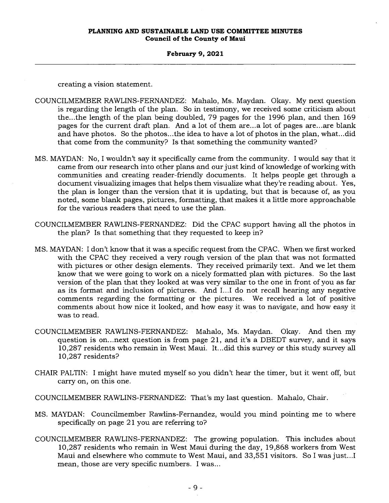#### **February 9, 2021**

creating a vision statement.

- COUNCILMEMBER RAWLINS-FERNANDEZ: Mahalo, Ms. Maydan. Okay. My next question is regarding the length of the plan. So in testimony, we received some criticism about the...the length of the plan being doubled, 79 pages for the 1996 plan, and then 169 pages for the current draft plan. And a lot of them are...a lot of pages are...are blank and have photos. So the photos...the idea to have a lot of photos in the plan, what...did that come from the community? Is that something the community wanted?
- MS. MAYDAN: No, I wouldn't say it specifically came from the community. I would say that it came from our research into other plans and our just kind of knowledge of working with communities and creating reader-friendly documents. It helps people get through a document visualizing images that helps them visualize what they're reading about. Yes, the plan is longer than the version that it is updating, but that is because of, as you noted, some blank pages, pictures, formatting, that makes it a little more approachable for the various readers that need to use the plan.
- COUNCILMEMBER RAWLINS-FERNANDEZ: Did the CPAC support having all the photos in the plan? Is that something that they requested to keep in?
- MS. MAYDAN: I don't know that it was a specific request from the CPAC. When we first worked with the CPAC they received a very rough version of the plan that was not formatted with pictures or other design elements. They received primarily text. And we let them know that we were going to work on a nicely formatted plan with pictures. So the last version of the plan that they looked at was very similar to the one in front of you as far as its format and inclusion of pictures. And I...I do not recall hearing any negative comments regarding the formatting or the pictures. We received a lot of positive comments about how nice it looked, and how easy it was to navigate, and how easy it was to read.
- COUNCILMEMBER RAWLINS-FERNANDEZ: Mahalo, Ms. Maydan. Okay. And then my question is on...next question is from page 21, and it's a DBEDT survey, and it says 10,287 residents who remain in West Maui. It...did this survey or this study survey all 10,287 residents?
- CHAIR PALTIN: I might have muted myself so you didn't hear the timer, but it went off, but carry on, on this one.
- COUNCILMEMBER RAWLINS-FERNANDEZ: That's my last question. Mahalo, Chair.
- MS. MAYDAN: Councilmember Rawlins-Fernandez, would you mind pointing me to where specifically on page 21 you are referring to?
- COUNCILMEMBER RAWLINS-FERNANDEZ: The growing population. This includes about 10,287 residents who remain in West Maui during the day, 19,868 workers from West Maui and elsewhere who commute to West Maui, and 33,551 visitors. So I was just...I mean, those are very specific numbers. I was...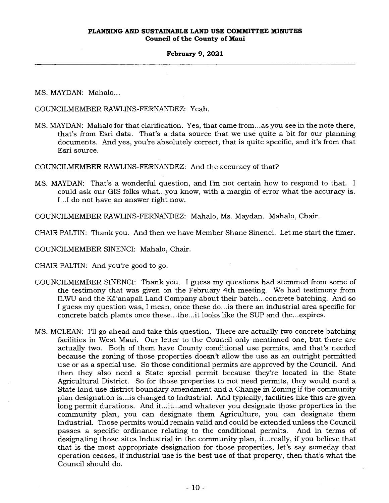### **February 9, 2021**

MS. MAYDAN: Mahalo...

COUNCILMEMBER RAWLINS-FERNANDEZ: Yeah.

MS. MAYDAN: Mahalo for that clarification. Yes, that came from...as you see in the note there, that's from Esri data. That's a data source that we use quite a bit for our planning documents. And yes, you're absolutely correct, that is quite specific, and it's from that Esri source.

COUNCILMEMBER RAWLINS-FERNANDEZ: And the accuracy of that?

MS. MAYDAN: That's a wonderful question, and I'm not certain how to respond to that. I could ask our GIS folks what...you know, with a margin of error what the accuracy is. I...I do not have an answer right now.

COUNCILMEMBER RAWLINS-FERNANDEZ: Mahalo, Ms. Maydan. Mahalo, Chair.

CHAIR PALTIN: Thank you. And then we have Member Shane Sinenci. Let me start the timer.

COUNCILMEMBER SINENCI: Mahalo, Chair.

CHAIR PALTIN: And you're good to go.

- COUNCILMEMBER SINENCI: Thank you. I guess my questions had stemmed from some of the testimony that was given on the February 4th meeting. We had testimony from ILWU and the Ka'anapali Land Company about their batch...concrete batching. And so I guess my question was, I mean, once these do...is there an industrial area specific for concrete batch plants once these...the...it looks like the SUP and the...expires.
- MS. MCLEAN: I'll go ahead and take this question. There are actually two concrete batching facilities in West Maui. Our letter to the Council only mentioned one, but there are actually two. Both of them have County conditional use permits, and that's needed because the zoning of those properties doesn't allow the use as an outright permitted use or as a special use. So those conditional permits are approved by the Council. And then they also need a State special permit because they're located in the State Agricultural District. So for those properties to not need permits, they would need a State land use district boundary amendment and a Change in Zoning if the community plan designation is...is changed to Industrial. And typically, facilities like this are given long permit durations. And it...it...and whatever you designate those properties in the community plan, you can designate them Agriculture, you can designate them Industrial. Those permits would remain valid and could be extended unless the Council passes a specific ordinance relating to the conditional permits. And in terms of designating those sites Industrial in the community plan, it...really, if you believe that that is the most appropriate designation for those properties, let's say someday that operation ceases, if industrial use is the best use of that property, then that's what the Council should do.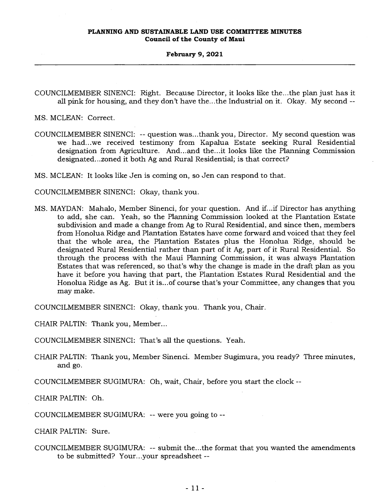#### **February 9, 2021**

COUNCILMEMBER SINENCI: Right. Because Director, it looks like the...the plan just has it all pink for housing, and they don't have the...the Industrial on it. Okay. My second --

MS. MCLEAN: Correct.

COUNCILMEMBER SINENCI: -- question was...thank you, Director. My second question was we had...we received testimony from Kapalua Estate seeking Rural Residential designation from Agriculture. And...and the...it looks like the Planning Commission designated...zoned it both Ag and Rural Residential; is that correct?

MS. MCLEAN: It looks like Jen is coming on, so Jen can respond to that.

COUNCILMEMBER SINENCI: Okay, thank you.

MS. MAYDAN: Mahalo, Member Sinenci, for your question. And if...if Director has anything to add, she can. Yeah, so the Planning Commission looked at the Plantation Estate subdivision and made a change from Ag to Rural Residential, and since then, members from Honolua Ridge and Plantation Estates have come forward and voiced that they feel that the whole area, the Plantation Estates plus the Honolua Ridge, should be designated Rural Residential rather than part of it Ag, part of it Rural Residential. So through the process with the Maui Planning Commission, it was always Plantation Estates that was referenced, so that's why the change is made in the draft plan as you have it before you having that part, the Plantation Estates Rural Residential and the Honolua Ridge as Ag. But it is...of course that's your Committee, any changes that you may make.

COUNCILMEMBER SINENCI: Okay, thank you. Thank you, Chair.

CHAIR PALTIN: Thank you, Member...

COUNCILMEMBER SINENCI: That's all the questions. Yeah.

CHAIR PALTIN: Thank you, Member Sinenci. Member Sugimura, you ready? Three minutes, and go.

COUNCILMEMBER SUGIMURA: Oh, wait, Chair, before you start the clock --

CHAIR PALTIN: Oh.

COUNCILMEMBER SUGIMURA: -- were you going to --

CHAIR PALTIN: Sure.

COUNCILMEMBER SUGIMURA: -- submit the...the format that you wanted the amendments to be submitted? Your...your spreadsheet --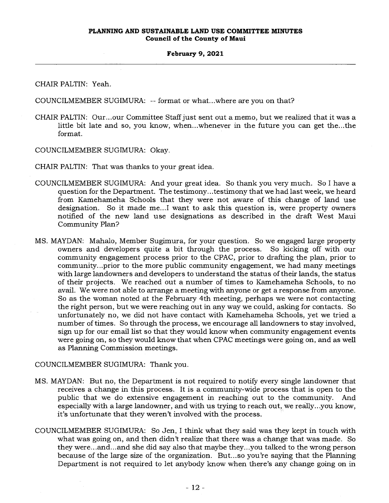CHAIR PALTIN: Yeah.

COUNCILMEMBER SUGIMURA: -- format or what...where are you on that?

CHAIR PALTIN: Our...our Committee Staff just sent out a memo, but we realized that it was a little bit late and so, you know, when...whenever in the future you can get the...the format.

COUNCILMEMBER SUGIMURA: Okay.

CHAIR PALTIN: That was thanks to your great idea.

- COUNCILMEMBER SUGIMURA: And your great idea. So thank you very much. So I have a question for the Department. The testimony...testimony that we had last week, we heard from Kamehameha Schools that they were not aware of this change of land use designation. So it made me...I want to ask this question is, were property owners notified of the new land use designations as described in the draft West Maui Community Plan?
- MS. MAYDAN: Mahalo, Member Sugimura, for your question. So we engaged large property owners and developers quite a bit through the process. So kicking off with our community engagement process prior to the CPAC, prior to drafting the plan, prior to community...prior to the more public community engagement, we had many meetings with large landowners and developers to understand the status of their lands, the status of their projects. We reached out a number of times to Kamehameha Schools, to no avail. We were not able to arrange a meeting with anyone or get a response from anyone. So as the woman noted at the February 4th meeting, perhaps we were not contacting the right person, but we were reaching out in any way we could, asking for contacts. So unfortunately no, we did not have contact with Kamehameha Schools, yet we tried a number of times. So through the process, we encourage all landowners to stay involved, sign up for our email list so that they would know when community engagement events were going on, so they would know that when CPAC meetings were going on, and as well as Planning Commission meetings.

## COUNCILMEMBER SUGIMURA: Thank you.

- MS. MAYDAN: But no, the Department is not required to notify every single landowner that receives a change in this process. It is a community-wide process that is open to the public that we do extensive engagement in reaching out to the community. And especially with a large landowner, and with us trying to reach out, we really...you know, it's unfortunate that they weren't involved with the process.
- COUNCILMEMBER SUGIMURA: So Jen, I think what they said was they kept in touch with what was going on, and then didn't realize that there was a change that was made. So they were...and...and she did say also that maybe they...you talked to the wrong person because of the large size of the organization. But...so you're saying that the Planning Department is not required to let anybody know when there's any change going on in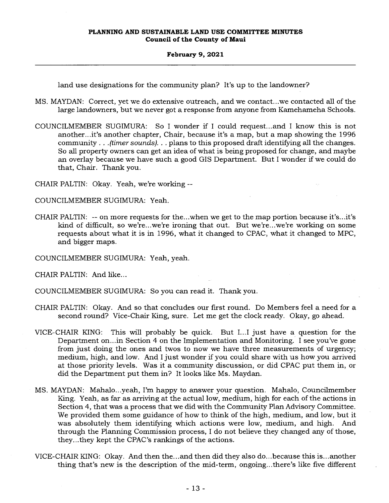land use designations for the community plan? It's up to the landowner?

MS. MAYDAN: Correct, yet we do extensive outreach, and we contact...we contacted all of the large landowners, but we never got a response from anyone from Kamehameha Schools.

COUNCILMEMBER SUGIMURA: So I wonder if I could request...and I know this is not another...it's another chapter, Chair, because it's a map, but a map showing the 1996 community . . . *(timer sounds). . .* plans to this proposed draft identifying all the changes. So all property owners can get an idea of what is being proposed for change, and maybe an overlay because we have such a good GIS Department. But I wonder if we could do that, Chair. Thank you.

CHAIR PALTIN: Okay. Yeah, we're working --

COUNCILMEMBER SUGIMURA: Yeah.

CHAIR PALTIN: -- on more requests for the...when we get to the map portion because it's...it's kind of difficult, so we're...we're ironing that out. But we're...we're working on some requests about what it is in 1996, what it changed to CPAC, what it changed to MPC, and bigger maps.

COUNCILMEMBER SUGIMURA: Yeah, yeah.

CHAIR PALTIN: And like...

COUNCILMEMBER SUGIMURA: So you can read it. Thank you.

- CHAIR PALTIN: Okay. And so that concludes our first round. Do Members feel a need for a second round? Vice-Chair King, sure. Let me get the clock ready. Okay, go ahead.
- VICE-CHAIR KING: This will probably be quick. But I...I just have a question for the Department on...in Section 4 on the Implementation and Monitoring. I see you've gone from just doing the ones and twos to now we have three measurements of urgency; medium, high, and low. And I just wonder if you could share with us how you arrived at those priority levels. Was it a community discussion, or did CPAC put them in, or did the Department put them in? It looks like Ms. Maydan.
- MS. MAYDAN: Mahalo...yeah, I'm happy to answer your question. Mahalo, Councilmember King. Yeah, as far as arriving at the actual low, medium, high for each of the actions in Section 4, that was a process that we did with the Community Plan Advisory Committee. We provided them some guidance of how to think of the high, medium, and low, but it was absolutely them identifying which actions were low, medium, and high. And through the Planning Commission process, I do not believe they changed any of those, they...they kept the CPAC's rankings of the actions.
- VICE-CHAIR KING: Okay. And then the...and then did they also do...because this is...another thing that's new is the description of the mid-term, ongoing...there's like five different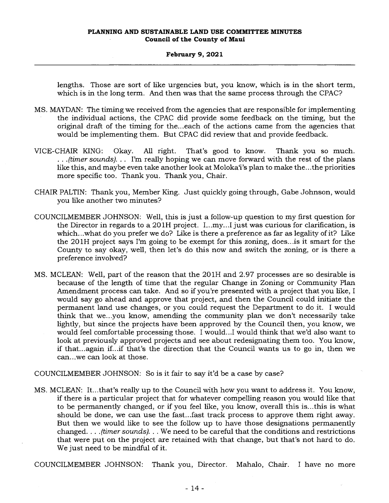### **February 9, 2021**

lengths. Those are sort of like urgencies but, you know, which is in the short term, which is in the long term. And then was that the same process through the CPAC?

- MS. MAYDAN: The timing we received from the agencies that are responsible for implementing the individual actions, the CPAC did provide some feedback on the timing, but the original draft of the timing for the...each of the actions came from the agencies that would be implementing them. But CPAC did review that and provide feedback.
- VICE-CHAIR KING: Okay. All right. That's good to know. Thank you so much. . . *.(timer sounds). . .* I'm really hoping we can move forward with the rest of the plans like this, and maybe even take another look at Moloka'i's plan to make the...the priorities more specific too. Thank you. Thank you, Chair.
- CHAIR PALTIN: Thank you, Member King. Just quickly going through, Gabe Johnson, would you like another two minutes?
- COUNCILMEMBER JOHNSON: Well, this is just a follow-up question to my first question for the Director in regards to a 201H project. I...my...I just was curious for clarification, is which...what do you prefer we do? Like is there a preference as far as legality of it? Like the 201H project says I'm going to be exempt for this zoning, does...is it smart for the County to say okay, well, then let's do this now and switch the zoning, or is there a preference involved?
- MS. MCLEAN: Well, part of the reason that the 201H and 2.97 processes are so desirable is because of the length of time that the regular Change in Zoning or Community Plan Amendment process can take. And so if you're presented with a project that you like, I would say go ahead and approve that project, and then the Council could initiate the permanent land use changes, or you could request the Department to do it. I would think that we...you know, amending the community plan we don't necessarily take lightly, but since the projects have been approved by the Council then, you know, we would feel comfortable processing those. I would...I would think that we'd also want to look at previously approved projects and see about redesignating them too. You know, if that...again if...if that's the direction that the Council wants us to go in, then we can...we can look at those.

COUNCILMEMBER JOHNSON: So is it fair to say it'd be a case by case?

MS. MCLEAN: It...that's really up to the Council with how you want to address it. You know, if there is a particular project that for whatever compelling reason you would like that to be permanently changed, or if you feel like, you know, overall this is...this is what should be done, we can use the fast...fast track process to approve them right away. But then we would like to see the follow up to have those designations permanently changed. . . . *(timer sounds). . .* We need to be careful that the conditions and restrictions that were put on the project are retained with that change, but that's not hard to do. We just need to be mindful of it.

COUNCILMEMBER JOHNSON: Thank you, Director. Mahalo, Chair. I have no more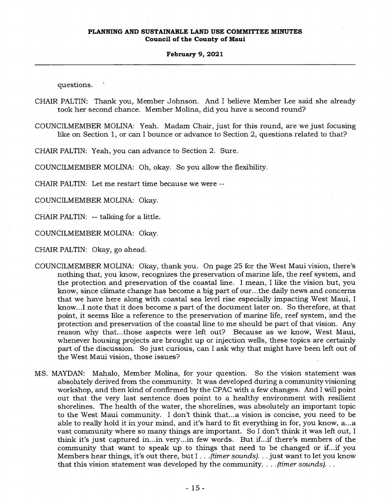questions.

CHAIR PALTIN: Thank you, Member Johnson. And I believe Member Lee said she already took her second chance. Member Molina, did you have a second round?

COUNCILMEMBER MOLINA: Yeah. Madam Chair, just for this round, are we just focusing like on Section 1, or can I bounce or advance to Section 2, questions related to that?

CHAIR PALTIN: Yeah, you can advance to Section 2. Sure.

COUNCILMEMBER MOLINA: Oh, okay. So you allow the flexibility.

CHAIR PALTIN: Let me restart time because we were --

COUNCILMEMBER MOLINA: Okay.

CHAIR PALTIN: -- talking for a little.

COUNCILMEMBER MOLINA: Okay.

CHAIR PALTIN: Okay, go ahead.

- COUNCILMEMBER MOLINA: Okay, thank you. On page 25 for the West Maui vision, there's nothing that, you know, recognizes the preservation of marine life, the reef system, and the protection and preservation of the coastal line. I mean, I like the vision but, you know, since climate change has become a big part of our...the daily news and concerns that we have here along with coastal sea level rise especially impacting West Maui, I know...I note that it does become a part of the document later on. So therefore, at that point, it seems like a reference to the preservation of marine life, reef system, and the protection and preservation of the coastal line to me should be part of that vision. Any reason why that...those aspects were left out? Because as we know, West Maui, whenever housing projects are brought up or injection wells, these topics are certainly part of the discussion. So just curious, can I ask why that might have been left out of the West Maui vision, those issues?
- MS. MAYDAN: Mahalo, Member Molina, for your question. So the vision statement was absolutely derived from the community. It was developed during a community visioning workshop, and then kind of confirmed by the CPAC with a few changes. And I will point out that the very last sentence does point to a healthy environment with resilient shorelines. The health of the water, the shorelines, was absolutely an important topic to the West Maui community. I don't think that...a vision is concise, you need to be able to really hold it in your mind, and it's hard to fit everything in for, you know, a...a vast community where so many things are important. So I don't think it was left out, I think it's just captured in...in very...in few words. But if...if there's members of the community that want to speak up to things that need to be changed or if...if you Members hear things, it's out there, but I . . *.(timer sounds). . .* just want to let you know that this vision statement was developed by the community. . . *.(timer sounds). . .*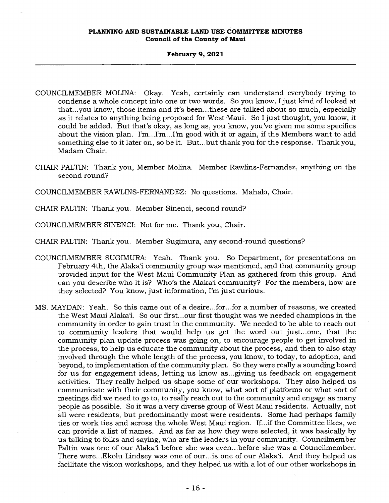### **February 9, 2021**

- COUNCILMEMBER MOLINA: Okay. Yeah, certainly can understand everybody trying to condense a whole concept into one or two words. So you know, I just kind of looked at that...you know, those items and it's been...these are talked about so much, especially as it relates to anything being proposed for West Maui. So I just thought, you know, it could be added. But that's okay, as long as, you know, you've given me some specifics about the vision plan. I'm...I'm...I'm good with it or again, if the Members want to add something else to it later on, so be it. But...but thank you for the response. Thank you, Madam Chair.
- CHAIR PALTIN: Thank you, Member Molina. Member Rawlins-Fernandez, anything on the second round?

COUNCILMEMBER RAWLINS-FERNANDEZ: No questions. Mahalo, Chair.

CHAIR PALTIN: Thank you. Member Sinenci, second round?

COUNCILMEMBER SINENCI: Not for me. Thank you, Chair.

CHAIR PALTIN: Thank you. Member Sugimura, any second-round questions?

- COUNCILMEMBER SUGIMURA: Yeah. Thank you. So Department, for presentations on February 4th, the Alaka' community group was mentioned, and that community group provided input for the West Maui Community Plan as gathered from this group. And can you describe who it is? Who's the Alaka'i community? For the members, how are they selected? You know, just information, I'm just curious.
- MS. MAYDAN: Yeah. So this came out of a desire...for...for a number of reasons, we created the West Maui Alaka`i. So our first...our first thought was we needed champions in the community in order to gain trust in the community. We needed to be able to reach out to community leaders that would help us get the word out just...one, that the community plan update process was going on, to encourage people to get involved in the process, to help us educate the community about the process, and then to also stay involved through the whole length of the process, you know, to today, to adoption, and beyond, to implementation of the community plan. So they were really a sounding board for us for engagement ideas, letting us know as...giving us feedback on engagement activities. They really helped us shape some of our workshops. They also helped us communicate with their community, you know, what sort of platforms or what sort of meetings did we need to go to, to really reach out to the community and engage as many people as possible. So it was a very diverse group of West Maui residents. Actually, not all were residents, but predominantly most were residents. Some had perhaps family ties or work ties and across the whole West Maui region. If...if the Committee likes, we can provide a list of names. And as far as how they were selected, it was basically by us talking to folks and saying, who are the leaders in your community. Councilmember Paltin was one of our Alaka'i before she was even...before she was a Councilmember. There were...Ekolu Lindsey was one of our...is one of our Alaka'i. And they helped us facilitate the vision workshops, and they helped us with a lot of our other workshops in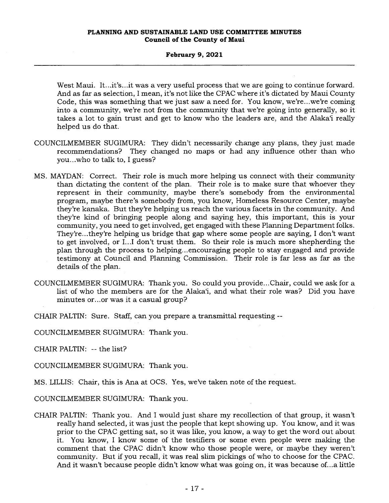West Maui. It...it's...it was a very useful process that we are going to continue forward. And as far as selection, I mean, it's not like the CPAC where it's dictated by Maui County Code, this was something that we just saw a need for. You know, we're...we're coming into a community, we're not from the community that we're going into generally, so it takes a lot to gain trust and get to know who the leaders are, and the Alaka'i really helped us do that.

- COUNCILMEMBER SUGIMURA: They didn't necessarily change any plans, they just made recommendations? They changed no maps or had any influence other than who you...who to talk to, I guess?
- MS. MAYDAN: Correct. Their role is much more helping us connect with their community than dictating the content of the plan. Their role is to make sure that whoever they represent in their community, maybe there's somebody from the environmental program, maybe there's somebody from, you know, Homeless Resource Center, maybe they're kanaka. But they're helping us reach the various facets in the community. And they're kind of bringing people along and saying hey, this important, this is your community, you need to get involved, get engaged with these Planning Department folks. They're...they're helping us bridge that gap where some people are saying, I don't want to get involved, or I...I don't trust them. So their role is much more shepherding the plan through the process to helping...encouraging people to stay engaged and provide testimony at Council and Planning Commission. Their role is far less as far as the details of the plan.
- COUNCILMEMBER SUGIMURA: Thank you. So could you provide...Chair, could we ask for a list of who the members are for the Alaka'i, and what their role was? Did you have minutes or...or was it a casual group?

CHAIR PALTIN: Sure. Staff, can you prepare a transmittal requesting --

COUNCILMEMBER SUGIMURA: Thank you.

CHAIR PALTIN: -- the list?

COUNCILMEMBER SUGIMURA: Thank you.

MS. LILLIS: Chair, this is Ana at OCS. Yes, we've taken note of the request.

COUNCILMEMBER SUGIMURA: Thank you.

CHAIR PALTIN: Thank you. And I would just share my recollection of that group, it wasn't really hand selected, it was just the people that kept showing up. You know, and it was prior to the CPAC getting sat, so it was like, you know, away to get the word out about it. You know, I know some of the testifiers or some even people were making the comment that the CPAC didn't know who those people were, or maybe they weren't community. But if you recall, it was real slim pickings of who to choose for the CPAC. And it wasn't because people didn't know what was going on, it was because of...a little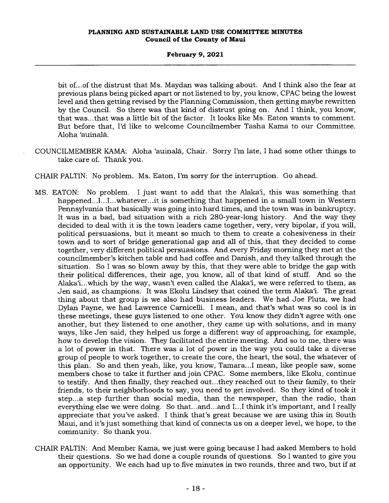### **February 9, 2021**

bit of...of the distrust that Ms. Maydan was talking about. And I think also the fear at previous plans being picked apart or not listened to by, you know, CPAC being the lowest level and then getting revised by the Planning Commission, then getting maybe rewritten by the Council. So there was that kind of distrust going on. And I think, you know, that was...that was a little bit of the factor. It looks like Ms. Eaton wants to comment. But before that, I'd like to welcome Councilmember Tasha Kama to our Committee. Aloha 'auinala.

COUNCILMEMBER KAMA: Aloha 'auinala, Chair. Sorry I'm late, I had some other things to take care of. Thank you.

CHAIR PALTIN: No problem. Ms. Eaton, I'm sorry for the interruption. Go ahead.

- MS. EATON: No problem. I just want to add that the Alaka'i, this was something that happened...I...I...whatever...it is something that happened in a small town in Western Pennsylvania that basically was going into hard times, and the town was in bankruptcy. It was in a bad, bad situation with a rich 280-year-long history. And the way they decided to deal with it is the town leaders came together, very, very bipolar, if you will, political persuasions, but it meant so much to them to create a cohesiveness in their town and to sort of bridge generational gap and all of this, that they decided to come together, very different political persuasions. And every Friday morning they met at the councilmember's kitchen table and had coffee and Danish, and they talked through the situation. So I was so blown away by this, that they were able to bridge the gap with their political differences, their age, you know, all of that kind of stuff. And so the Alaka'i...which by the way, wasn't even called the Alaka'i, we were referred to them, as Jen said, as champions. It was Ekolu Lindsey that coined the term Alaka''. The great thing about that group is we also had business leaders. We had Joe Pluta, we had Dylan Payne, we had Lawrence Carnicelli. I mean, and that's what was so cool is in these meetings, these guys listened to one other. You know they didn't agree with one another, but they listened to one another, they came up with solutions, and in many ways, like Jen said, they helped us forge a different way of approaching, for example, how to develop the vision. They facilitated the entire meeting. And so to me, there was a lot of power in that. There was a lot of power in the way you could take a diverse group of people to work together, to create the core, the heart, the soul, the whatever of this plan. So and then yeah, like, you know, Tamara...I mean, like people saw, some members chose to take it further and join CPAC. Some members, like Ekolu, continue to testify. And then finally, they reached out...they reached out to their family, to their friends, to their neighborhoods to say, you need to get involved. So they kind of took it step...a step further than social media, than the newspaper, than the radio, than everything else we were doing. So that...and...and I...I think it's important, and I really appreciate that you've asked. I think that's great because we are using this in South Maui, and it's just something that kind of connects us on a deeper level, we hope, to the community. So thank you.
- CHAIR PALTIN: And Member Kama, we just were going because I had asked Members to hold their questions. So we had done a couple rounds of questions. So I wanted to give you an opportunity. We each had up to five minutes in two rounds, three and two, but if at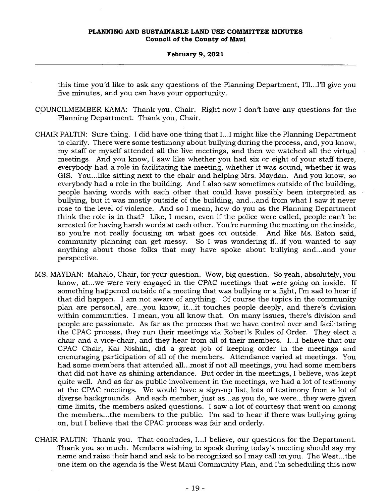this time you'd like to ask any questions of the Planning Department, I'll...I'll give you five minutes, and you can have your opportunity.

- COUNCILMEMBER KAMA: Thank you, Chair. Right now I don't have any questions for the Planning Department. Thank you, Chair.
- CHAIR PALTIN: Sure thing. I did have one thing that I...I might like the Planning Department to clarify. There were some testimony about bullying during the process, and, you know, my staff or myself attended all the live meetings, and then we watched all the virtual meetings. And you know, I saw like whether you had six or eight of your staff there, everybody had a role in facilitating the meeting, whether it was sound, whether it was GIS. You...like sitting next to the chair and helping Mrs. Maydan. And you know, so everybody had a role in the building. And I also saw sometimes outside of the building, people having words with each other that could have possibly been interpreted as bullying, but it was mostly outside of the building, and...and from what I saw it never rose to the level of violence. And so I mean, how do you as the Planning Department think the role is in that? Like, I mean, even if the police were called, people can't be arrested for having harsh words at each other. You're running the meeting on the inside, so you're not really focusing on what goes on outside. And like Ms. Eaton said, community planning can get messy. So I was wondering if...if you wanted to say anything about those folks that may have spoke about bullying and...and your perspective.
- MS. MAYDAN: Mahalo, Chair, for your question. Wow, big question. So yeah, absolutely, you know, at...we were very engaged in the CPAC meetings that were going on inside. If something happened outside of a meeting that was bullying or a fight, I'm sad to hear if that did happen. I am not aware of anything. Of course the topics in the community plan are personal, are...you know, it...it touches people deeply, and there's division within communities. I mean, you all know that. On many issues, there's division and people are passionate. As far as the process that we have control over and facilitating the CPAC process, they run their meetings via Robert's Rules of Order. They elect a chair and a vice-chair, and they hear from all of their members. I...I believe that our CPAC Chair, Kai Nishiki, did a great job of keeping order in the meetings and encouraging participation of all of the members. Attendance varied at meetings. You had some members that attended all...most if not all meetings, you had some members that did not have as shining attendance. But order in the meetings, I believe, was kept quite well. And as far as public involvement in the meetings, we had a lot of testimony at the CPAC meetings. We would have a sign-up list, lots of testimony from a lot of diverse backgrounds. And each member, just as...as you do, we were...they were given time limits, the members asked questions. I saw a lot of courtesy that went on among the members...the members to the public. I'm sad to hear if there was bullying going on, but I believe that the CPAC process was fair and orderly.
- CHAIR PALTIN: Thank you. That concludes, I...I believe, our questions for the Department. Thank you so much. Members wishing to speak during today's meeting should say my name and raise their hand and ask to be recognized so I may call on you. The West...the one item on the agenda is the West Maui Community Plan, and I'm scheduling this now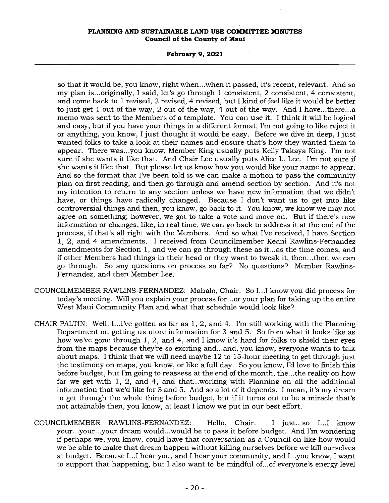### **February 9, 2021**

so that it would be, you know, right when...when it passed, it's recent, relevant. And so my plan is...originally, I said, let's go through 1 consistent, 2 consistent, 4 consistent, and come back to 1 revised, 2 revised, 4 revised, but I kind of feel like it would be better to just get 1 out of the way, 2 out of the way, 4 out of the way. And I have...there...a memo was sent to the Members of a template. You can use it. I think it will be logical and easy, but if you have your things in a different format, I'm not going to like reject it or anything, you know, I just thought it would be easy. Before we dive in deep, I just wanted folks to take a look at their names and ensure that's how they wanted them to appear. There was...you know, Member King usually puts Kelly Takaya King. I'm not sure if she wants it like that. And Chair Lee usually puts Alice L. Lee. I'm not sure if she wants it like that. But please let us know how you would like your name to appear. And so the format that I've been told is we can make a motion to pass the community plan on first reading, and then go through and amend section by section. And it's not my intention to return to any section unless we have new information that we didn't have, or things have radically changed. Because I don't want us to get into like controversial things and then, you know, go back to it. You know, we know we may not agree on something; however, we got to take a vote and move on. But if there's new information or changes, like, in real time, we can go back to address it at the end of the process, if that's all right with the Members. And so what I've received, I have Section 1, 2, and 4 amendments. I received from Councilmember Keani Rawlins-Fernandez amendments for Section 1, and we can go through these as it...as the time comes, and if other Members had things in their head or they want to tweak it, then...then we can go through. So any questions on process so far? No questions? Member Rawlins-Fernandez, and then Member Lee.

- COUNCILMEMBER RAWLINS-FERNANDEZ: Mahalo, Chair. So I...I know you did process for today's meeting. Will you explain your process for...or your plan for taking up the entire West Maui Community Plan and what that schedule would look like?
- CHAIR PALTIN: Well, I...I've gotten as far as 1, 2, and 4. I'm still working with the Planning Department on getting us more information for 3 and 5. So from what it looks like as how we've gone through 1, 2, and 4, and I know it's hard for folks to shield their eyes from the maps because they're so exciting and...and, you know, everyone wants to talk about maps. I think that we will need maybe 12 to 15-hour meeting to get through just the testimony on maps, you know, or like a full day. So you know, I'd love to finish this before budget, but I'm going to reassess at the end of the month, the...the reality on how far we get with 1, 2, and 4, and that...working with Planning on all the additional information that we'd like for 3 and 5. And so a lot of it depends. I mean, it's my dream to get through the whole thing before budget, but if it turns out to be a miracle that's not attainable then, you know, at least I know we put in our best effort.
- COUNCILMEMBER RAWLINS-FERNANDEZ: Hello, Chair. I just...so I...I know your...your...your dream would...would be to pass it before budget. And I'm wondering if perhaps we, you know, could have that conversation as a Council on like how would we be able to make that dream happen without killing ourselves before we kill ourselves at budget. Because I...I hear you, and I hear your community, and I...you know, I want to support that happening, but I also want to be mindful of...of everyone's energy level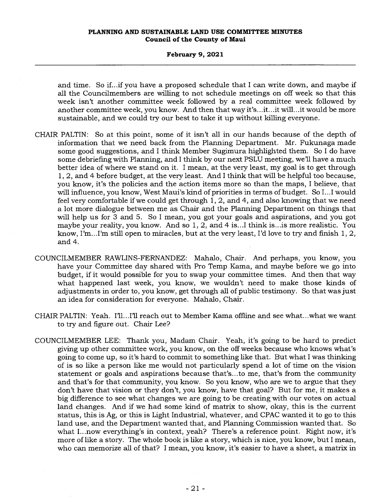and time. So if...if you have a proposed schedule that I can write down, and maybe if all the Councilmembers are willing to not schedule meetings on off week so that this week isn't another committee week followed by a real committee week followed by another committee week, you know. And then that way it's...it...it will...it would be more sustainable, and we could try our best to take it up without killing everyone.

- CHAIR PALTIN: So at this point, some of it isn't all in our hands because of the depth of information that we need back from the Planning Department. Mr. Fukunaga made some good suggestions, and I think Member Sugimura highlighted them. So I do have some debriefing with Planning, and I think by our next PSLU meeting, we'll have a much better idea of where we stand on it. I mean, at the very least, my goal is to get through 1, 2, and 4 before budget, at the very least. And I think that will be helpful too because, you know, it's the policies and the action items more so than the maps, I believe, that will influence, you know, West Maui's kind of priorities in terms of budget. So I...I would feel very comfortable if we could get through 1, 2, and 4, and also knowing that we need a lot more dialogue between me as Chair and the Planning Department on things that will help us for 3 and 5. So I mean, you got your goals and aspirations, and you got maybe your reality, you know. And so 1, 2, and 4 is...I think is...is more realistic. You know, I'm...I'm still open to miracles, but at the very least, I'd love to try and finish  $1, 2$ , and 4.
- COUNCILMEMBER RAWLINS-FERNANDEZ: Mahalo, Chair. And perhaps, you know, you have your Committee day shared with Pro Temp Kama, and maybe before we go into budget, if it would possible for you to swap your committee times. And then that way what happened last week, you know, we wouldn't need to make those kinds of adjustments in order to, you know, get through all of public testimony. So that was just an idea for consideration for everyone. Mahalo, Chair.
- CHAIR PALTIN: Yeah. [1]...[1] reach out to Member Kama offline and see what...what we want to try and figure out. Chair Lee?
- COUNCILMEMBER LEE: Thank you, Madam Chair. Yeah, it's going to be hard to predict giving up other committee work, you know, on the off weeks because who knows what's going to come up, so it's hard to commit to something like that. But what I was thinking of is so like a person like me would not particularly spend a lot of time on the vision statement or goals and aspirations because that's...to me, that's from the community and that's for that community, you know. So you know, who are we to argue that they don't have that vision or they don't, you know, have that goal? But for me, it makes a big difference to- see what changes we are going to be creating with our votes on actual land changes. And if we had some kind of matrix to show, okay, this is the current status, this is Ag, or this is Light Industrial, whatever, and CPAC wanted it to go to this land use, and the Department wanted that, and Planning Commission wanted that. So what I...now everything's in context, yeah? There's a reference point. Right now, it's more of like a story. The whole book is like a story, which is nice, you know, but I mean, who can memorize all of that? I mean, you know, it's easier to have a sheet, a matrix in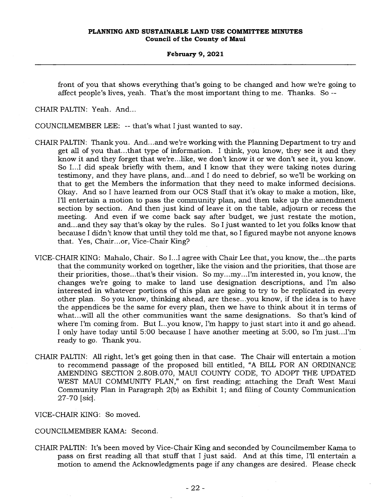front of you that shows everything that's going to be changed and how we're going to affect people's lives, yeah. That's the most important thing to me. Thanks. So --

CHAIR PALTIN: Yeah. And...

COUNCILMEMBER LEE: -- that's what I just wanted to say.

- CHAIR PALTIN: Thank you. And...and we're working with the Planning Department to try and get all of you that...that type of information. I think, you know, they see it and they know it and they forget that we're...like, we don't know it or we don't see it, you know. So I...I did speak briefly with them, and I know that they were taking notes during testimony, and they have plans, and...and I do need to debrief, so we'll be working on that to get the Members the information that they need to make informed decisions. Okay. And so I have learned from our OCS Staff that it's okay to make a motion, like, I'll entertain a motion to pass the community plan, and then take up the amendment section by section. And then just kind of leave it on the table, adjourn or recess the meeting. And even if we come back say after budget, we just restate the motion, and...and they say that's okay by the rules. So I just wanted to let you folks know that because I didn't know that until they told me that, so I figured maybe not anyone knows that. Yes, Chair...or, Vice-Chair King?
- VICE-CHAIR KING: Mahalo, Chair. So I...I agree with Chair Lee that, you know, the...the parts that the community worked on together, like the vision and the priorities, that those are their priorities, those...that's their vision. So my...my...I'm interested in, you know, the changes we're going to make to land use designation descriptions, and I'm also interested in whatever portions of this plan are going to try to be replicated in every other plan. So you know, thinking ahead, are these...you know, if the idea is to have the appendices be the same for every plan, then we have to think about it in terms of what...will all the other communities want the same designations. So that's kind of where I'm coming from. But I...you know, I'm happy to just start into it and go ahead. I only have today until 5:00 because I have another meeting at 5:00, so I'm just...I'm ready to go. Thank you.
- CHAIR PALTIN: All right, let's get going then in that case. The Chair will entertain a motion to recommend passage of the proposed bill entitled, "A BILL FOR AN ORDINANCE AMENDING SECTION 2.80B.070, MAUI COUNTY CODE, TO ADOPT THE UPDATED WEST MAUI COMMUNITY PLAN," on first reading; attaching the Draft West Maui Community Plan in Paragraph 2(b) as Exhibit 1; and filing of County Communication 27-70 *[sic].*

VICE-CHAIR KING: So moved.

COUNCILMEMBER KAMA: Second.

CHAIR PALTIN: It's been moved by Vice-Chair King and seconded by Councilmember Kama to pass on first reading all that stuff that I just said. And at this time, I'll entertain a motion to amend the Acknowledgments page if any changes are desired. Please check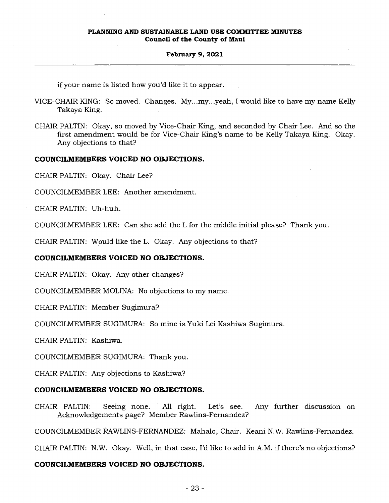#### **February 9, 2021**

if your name is listed how you'd like it to appear.

- VICE-CHAIR KING: So moved. Changes. My...my...yeah, I would like to have my name Kelly Takaya King.
- CHAIR PALTIN: Okay, so moved by Vice-Chair King, and seconded by Chair Lee. And so the first amendment would be for Vice-Chair King's name to be Kelly Takaya King. Okay. Any objections to that?

## **COUNCILMEMBERS VOICED NO OBJECTIONS.**

CHAIR PALTIN: Okay. Chair Lee?

COUNCILMEMBER LEE: Another amendment.

CHAIR PALTIN: Uh-huh.

COUNCILMEMBER LEE: Can she add the L for the middle initial please? Thank you.

CHAIR PALTIN: Would like the L. Okay. Any objections to that?

### **COUNCILMEMBERS VOICED NO OBJECTIONS.**

CHAIR PALTIN: Okay. Any other changes?

COUNCILMEMBER MOLINA: No objections to my name.

CHAIR PALTIN: Member Sugimura?

COUNCILMEMBER SUGIMURA: So mine is Yuki Lei Kashiwa Sugimura.

CHAIR PALTIN: Kashiwa.

COUNCILMEMBER SUGIMURA: Thank you.

CHAIR PALTIN: Any objections to Kashiwa?

#### **COUNCILMEMBERS VOICED NO OBJECTIONS.**

CHAIR PALTIN: Seeing none. All right. Let's see. Any further discussion on Acknowledgements page? Member Rawlins-Fernandez?

COUNCILMEMBER RAWLINS-FERNANDEZ: Mahalo, Chair. Keani N.W. Rawlins-Fernandez.

CHAIR PALTIN: N.W. Okay. Well, in that case, I'd like to add in A.M. if there's no objections?

### **COUNCILMEMBERS VOICED NO OBJECTIONS.**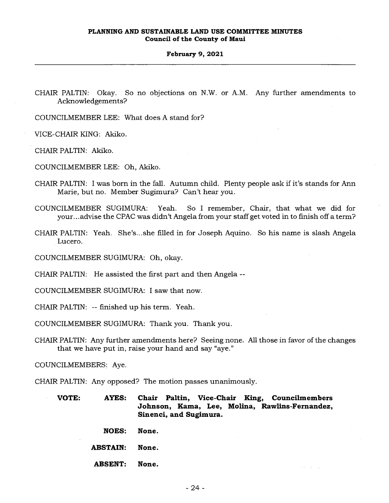CHAIR PALTIN: Okay. So no objections on N.W. or A.M. Any further amendments to Acknowledgements?

COUNCILMEMBER LEE: What does A stand for?

VICE-CHAIR KING: Akiko.

CHAIR PALTIN: Akiko.

COUNCILMEMBER LEE: Oh, Akiko.

- CHAIR PALTIN: I was born in the fall. Autumn child. Plenty people ask if it's stands for Ann Marie, but no. Member Sugimura? Can't hear you.
- COUNCILMEMBER SUGIMURA: Yeah. So I remember, Chair, that what we did for your...advise the CPAC was didn't Angela from your staff get voted in to finish off a term?
- CHAIR PALTIN: Yeah. She's...she filled in for Joseph Aquino. So his name is slash Angela Lucero.

COUNCILMEMBER SUGIMURA: Oh, okay.

CHAIR PALTIN: He assisted the first part and then Angela --

COUNCILMEMBER SUGIMURA: I saw that now.

CHAIR PALTIN: -- finished up his term. Yeah.

COUNCILMEMBER SUGIMURA: Thank you. Thank you.

CHAIR PALTIN: Any further amendments here? Seeing none. All those in favor of the changes that we have put in, raise your hand and say "aye."

COUNCILMEMBERS; Aye.

CHAIR PALTIN: Any opposed? The motion passes unanimously.

**VOTE: AYES: Chair Paltin, Vice-Chair King, Councilmembers Johnson, Kama, Lee, Molina, Rawlins-Fernandez, Sinenci, and Sugimura.** 

**NOES: None.** 

**ABSTAIN: None.** 

**ABSENT: None.**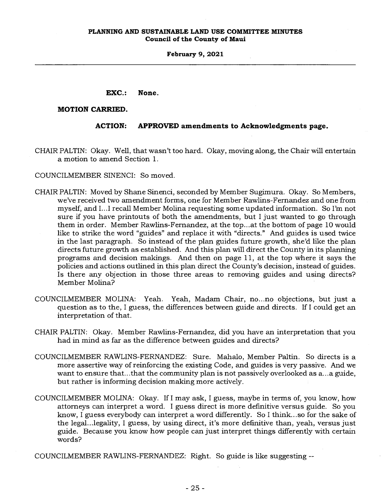**EXC.: None.** 

### **MOTION CARRIED.**

## **ACTION: APPROVED amendments to Acknowledgments page.**

CHAIR PALTIN: Okay. Well, that wasn't too hard. Okay, moving along, the Chair will entertain a motion to amend Section 1.

COUNCILMEMBER SINENCI: So moved.

- CHAIR PALTIN: Moved by Shane Sinenci, seconded by Member Sugimura. Okay. So Members, we've received two amendment forms, one for Member Rawlins-Fernandez and one from myself, and I...I recall Member Molina requesting some updated information. So I'm not sure if you have printouts of both the amendments, but I just wanted to go through them in order. Member Rawlins-Fernandez, at the top...at the bottom of page 10 would like to strike the word "guides" and replace it with "directs." And guides is used twice in the last paragraph. So instead of the plan guides future growth, she'd like the plan directs future growth as established. And this plan will direct the County in its planning programs and decision makings. And then on page 11, at the top where it says the policies and actions outlined in this plan direct the County's decision, instead of guides. Is there any objection in those three areas to removing guides and using directs? Member Molina?
- COUNCILMEMBER MOLINA: Yeah. Yeah, Madam Chair, no...no objections, but just a question as to the, I guess, the differences between guide and directs. If I could get an interpretation of that.
- CHAIR PALTIN: Okay. Member Rawlins-Fernandez, did you have an interpretation that you had in mind as far as the difference between guides and directs?
- COUNCILMEMBER RAWLINS-FERNANDEZ: Sure. Mahalo, Member Paltin. So directs is a more assertive way of reinforcing the existing Code, and guides is very passive. And we want to ensure that...that the community plan is not passively overlooked as a...a guide, but rather is informing decision making more actively.
- COUNCILMEMBER MOLINA: Okay. If I may ask, I guess, maybe in terms of, you know, how attorneys can interpret a word. I guess direct is more definitive versus guide. So you know, I guess everybody can interpret a word differently. So I think...so for the sake of the legal...legality, I guess, by using direct, it's more definitive than, yeah, versus just guide. Because you know how people can just interpret things differently with certain words?

COUNCILMEMBER RAWLINS-FERNANDEZ: Right. So guide is like suggesting --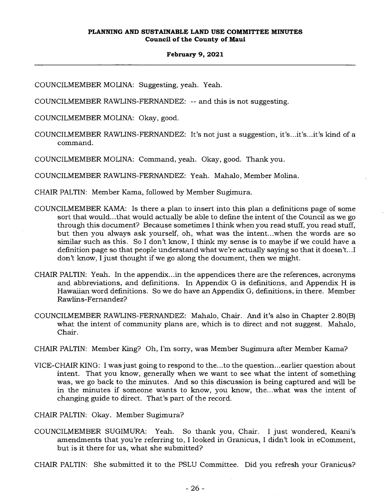COUNCILMEMBER MOLINA: Suggesting, yeah. Yeah.

COUNCILMEMBER RAWLINS-FERNANDEZ: -- and this is not suggesting.

COUNCILMEMBER MOLINA: Okay, good.

COUNCILMEMBER RAWLINS-FERNANDEZ: It's not just a suggestion, it's...it's...it's kind of a command.

COUNCILMEMBER MOLINA: Command, yeah. Okay, good. Thank you.

COUNCILMEMBER RAWLINS-FERNANDEZ: Yeah. Mahalo, Member Molina.

CHAIR PALTIN: Member Kama, followed by Member Sugimura.

- COUNCILMEMBER KAMA: Is there a plan to insert into this plan a definitions page of some sort that would...that would actually be able to define the intent of the Council as we go through this document? Because sometimes I think when you read stuff, you read stuff, but then you always ask yourself, oh, what was the intent...when the words are so similar such as this. So I don't know, I think my sense is to maybe if we could have a definition page so that people understand what we're actually saying so that it doesn't...I don't know, I just thought if we go along the document, then we might.
- CHAIR PALTIN: Yeah. In the appendix...in the appendices there are the references, acronyms and abbreviations, and definitions. In Appendix G is defmitions, and Appendix H is Hawaiian word definitions. So we do have an Appendix G, definitions, in there. Member Rawlins-Fernandez?
- COUNCILMEMBER RAWLINS-FERNANDEZ: Mahalo, Chair. And it's also in Chapter 2.80(B) what the intent of community plans are, which is to direct and not suggest. Mahalo, Chair.
- CHAIR PALTIN: Member King? Oh, I'm sorry, was Member Sugimura after Member Kama?
- VICE-CHAIR KING: I was just going to respond to the...to the question...earlier question about intent. That you know, generally when we want to see what the intent of something was, we go back to the minutes. And so this discussion is being captured and will be in the minutes if someone wants to know, you know, the...what was the intent of changing guide to direct. That's part of the record.

CHAIR PALTIN: Okay. Member Sugimura?

COUNCILMEMBER SUGIMURA: Yeah. So thank you, Chair. I just wondered, Keani's amendments that you're referring to, I looked in Granicus, I didn't look in eComment, but is it there for us, what she submitted?

CHAIR PALTIN: She submitted it to the PSLU Committee. Did you refresh your Granicus?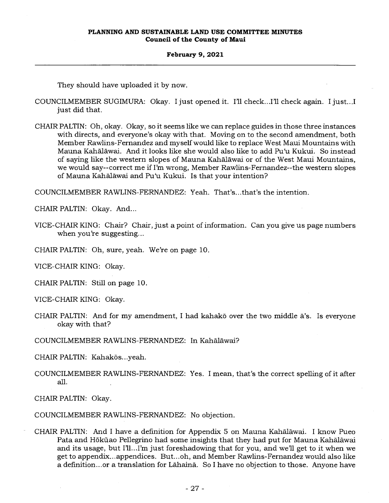They should have uploaded it by now.

- COUNCILMEMBER SUGIMURA: Okay. I just opened it. I'll check...I'll check again. I just...I just did that.
- CHAIR PALTIN: Oh, okay. Okay, so it seems like we can replace guides in those three instances with directs, and everyone's okay with that. Moving on to the second amendment, both Member Rawlins-Fernandez and myself would like to replace West Maui Mountains with Mauna Kahalawai. And it looks like she would also like to add Pu`u Kukui. So instead of saying like the western slopes of Mauna Kahalawai or of the West Maui Mountains, we would say--correct me if I'm wrong, Member Rawlins-Fernandez--the western slopes of Mauna Kahalawai and Pu'u Kukui. Is that your intention?

COUNCILMEMBER RAWLINS-FERNANDEZ: Yeah. That's...that's the intention.

CHAIR PALTIN: Okay. And...

VICE-CHAIR KING: Chair? Chair, just a point of information. Can you give us page numbers when you're suggesting...

CHAIR PALTIN: Oh, sure, yeah. We're on page 10.

VICE-CHAIR KING: Okay.

CHAIR PALTIN: Still on page 10.

VICE-CHAIR KING: Okay.

CHAIR PALTIN: And for my amendment, I had kahako over the two middle a's. Is everyone okay with that?

COUNCILMEMBER RAWLINS-FERNANDEZ: In Kahalawai?

CHAIR PALTIN: Kahakōs...yeah.

COUNCILMEMBER RAWLINS-FERNANDEZ: Yes. I mean, that's the correct spelling of it after all.

CHAIR PALTIN: Okay.

COUNCILMEMBER RAWLINS-FERNANDEZ: No objection.

CHAIR PALTIN: And I have a definition for Appendix 5 on Mauna Kahalawai. I know Pueo Pata and Hōkūao Pellegrino had some insights that they had put for Mauna Kahālāwai and its usage, but I'll...I'm just foreshadowing that for you, and we'll get to it when we get to appendix...appendices. But...oh, and Member Rawlins-Fernandez would also like a definition...or a translation for Lahaind. So I have no objection to those. Anyone have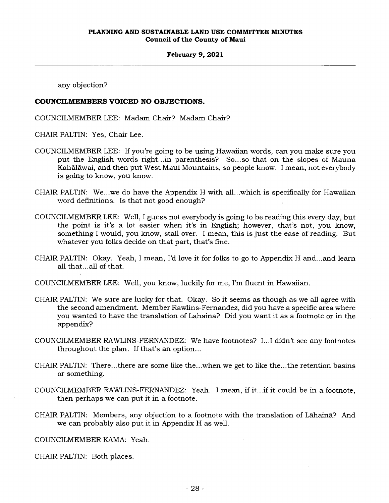any objection?

## **COUNCILMEMBERS VOICED NO OBJECTIONS.**

COUNCILMEMBER LEE: Madam Chair? Madam Chair?

CHAIR PALTIN: Yes, Chair Lee.

- COUNCILMEMBER LEE: If you're going to be using Hawaiian words, can you make sure you put the English words right...in parenthesis? So...so that on the slopes of Mauna Kahalawai, and then put West Maui Mountains, so people know. I mean, not everybody is going to know, you know.
- CHAIR PALTIN: We...we do have the Appendix H with all...which is specifically for Hawaiian word definitions. Is that not good enough? •
- COUNCILMEMBER LEE: Well, I guess not everybody is going to be reading this every day, but the point is it's a lot easier when it's in English; however, that's not, you know, something I would, you know, stall over. I mean, this is just the ease of reading. But whatever you folks decide on that part, that's fine.
- CHAIR PALTIN: Okay. Yeah, I mean, I'd love it for folks to go to Appendix H and...and learn all that...all of that.
- COUNCILMEMBER LEE: Well, you know, luckily for me, I'm fluent in Hawaiian.
- CHAIR PALTIN: We sure are lucky for that. Okay. So it seems as though as we all agree with the second amendment. Member Rawlins-Fernandez, did you have a specific area where you wanted to have the translation of Lahaina? Did you want it as a footnote or in the appendix?
- COUNCILMEMBER RAWLINS-FERNANDEZ: We have footnotes? I...I didn't see any footnotes throughout the plan. If that's an option...
- CHAIR PALTIN: There...there are some like the...when we get to like the...the retention basins or something.
- COUNCILMEMBER RAWLINS-FERNANDEZ: Yeah. I mean, if it...if it could be in a footnote, then perhaps we can put it in a footnote.
- CHAIR PALTIN: Members, any objection to a footnote with the translation of Lahaina? And we can probably also put it in Appendix H as well.

COUNCILMEMBER KAMA: Yeah.

CHAIR PALTIN: Both places.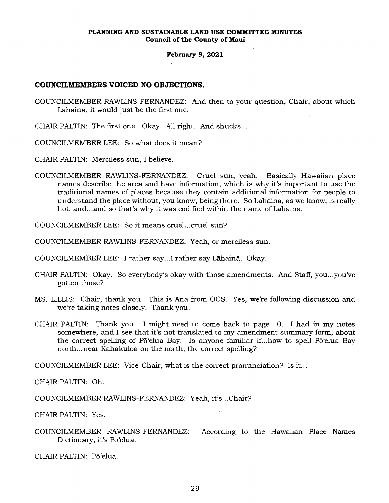## **COUNCILMEMBERS VOICED NO OBJECTIONS.**

COUNCILMEMBER RAWLINS-FERNANDEZ: And then to your question, Chair, about which Lahaina, it would just be the first one.

CHAIR PALTIN: The first one. Okay. All right. And shucks...

COUNCILMEMBER LEE: So what does it mean?

CHAIR PALTIN: Merciless sun, I believe.

COUNCILMEMBER RAWLINS-FERNANDEZ: Cruel sun, yeah. Basically Hawaiian place names describe the area and have information, which is why it's important to use the traditional names of places because they contain additional information for people to understand the place without, you know, being there. So Lāhainā, as we know, is really hot, and...and so that's why it was codified within the name of Lahaina..

COUNCILMEMBER LEE: So it means cruel...cruel sun?

COUNCILMEMBER RAWLINS-FERNANDEZ: Yeah, or merciless sun.

COUNCILMEMBER LEE: I rather say...I rather say Lahaina. Okay.

- CHAIR PALTIN: Okay. So everybody's okay with those amendments. And Staff, you...you've gotten those?
- MS. LILLIS: Chair, thank you. This is Ana from OCS. Yes, we're following discussion and we're taking notes closely. Thank you.
- CHAIR PALTIN: Thank you. I might need to come back to page 10. I had in my notes somewhere, and I see that it's not translated to my amendment summary form, about the correct spelling of Pō'elua Bay. Is anyone familiar if...how to spell Pō'elua Bay north...near Kahakuloa on the north, the correct spelling?

COUNCILMEMBER LEE: Vice-Chair, what is the correct pronunciation? Is it...

CHAIR PALTIN: Oh.

COUNCILMEMBER RAWLINS-FERNANDEZ: Yeah, it's...Chair?

CHAIR PALTIN: Yes.

COUNCILMEMBER RAWLINS-FERNANDEZ: According to the Hawaiian Place Names Dictionary, it's Pō'elua.

CHAIR PALTIN: Pō'elua.

 $\mathcal{L}^{\mathcal{L}}$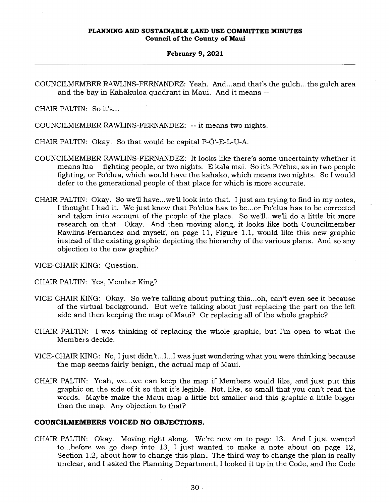COUNCILMEMBER RAWLINS-FERNANDEZ: Yeah. And...and that's the gulch...the gulch area and the bay in Kahakuloa quadrant in Maui. And it means --

CHAIR PALTIN: So it's...

COUNCILMEMBER RAWLINS-FERNANDEZ: -- it means two nights.

CHAIR PALTIN: Okay. So that would be capital P-O<sup>-</sup>-E-L-U-A.

- COUNCILMEMBER RAWLINS-FERNANDEZ: It looks like there's some uncertainty whether it means lua -- fighting people, or two nights. E kala mai. So it's Po`elua, as in two people fighting, or Pō'elua, which would have the kahakō, which means two nights. So I would defer to the generational people of that place for which is more accurate.
- CHAIR PALTIN: Okay. So we'll have...we'll look into that. I just am trying to find in my notes, I thought I had it. We just know that Po'elua has to be...or Pō'elua has to be corrected and taken into account of the people of the place. So we'll...we'll do a little bit more research on that. Okay. And then moving along, it looks like both Councilmember Rawlins-Fernandez and myself, on page 11, Figure 1.1, would like this new graphic instead of the existing graphic depicting the hierarchy of the various plans. And so any objection to the new graphic?

VICE-CHAIR KING: Question.

- CHAIR PALTIN: Yes, Member King?
- VICE-CHAIR KING: Okay. So we're talking about putting this...oh, can't even see it because of the virtual background. But we're talking about just replacing the part on the left side and then keeping the map of Maui? Or replacing all of the whole graphic?
- CHAIR PALTIN: I was thinking of replacing the whole graphic, but I'm open to what the Members decide.
- VICE-CHAIR KING: No, I just didn't...I...I was just wondering what you were thinking because the map seems fairly benign, the actual map of Maui.
- CHAIR PALTIN: Yeah, we...we can keep the map if Members would like, and just put this graphic on the side of it so that it's legible. Not, like, so small that you can't read the words. Maybe make the Maui map a little bit smaller and this graphic a little bigger than the map. Any objection to that?

## **COUNCILMEMBERS VOICED NO OBJECTIONS.**

CHAIR PALTIN: Okay. Moving right along. We're now on to page 13. And I just wanted to...before we go deep into 13, I just wanted to make a note about on page 12, Section 1.2, about how to change this plan. The third way to change the plan is really unclear, and I asked the Planning Department, I looked it up in the Code, and the Code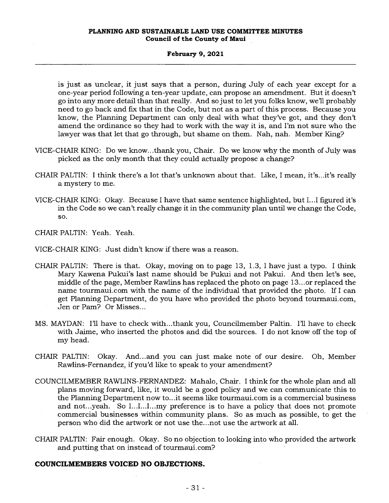is just as unclear, it just says that a person, during July of each year except for a one-year period following a ten-year update, can propose an amendment. But it doesn't go into any more detail than that really. And so just to let you folks know, we'll probably need to go back and fix that in the Code, but not as a part of this process. Because you know, the Planning Department can only deal with what they've got, and they don't amend the ordinance so they had to work with the way it is, and I'm not sure who the lawyer was that let that go through, but shame on them. Nah, nah. Member King?

- VICE-CHAIR KING: Do we know...thank you, Chair. Do we know why the month of July was picked as the only month that they could actually propose a change?
- CHAIR PALTIN: I think there's a lot that's unknown about that. Like, I mean, it's...it's really a mystery to me.
- VICE-CHAIR KING: Okay. Because I have that same sentence highlighted, but I...I figured it's in the Code so we can't really change it in the community plan until we change the Code, so.

CHAIR PALTIN: Yeah. Yeah.

VICE-CHAIR KING: Just didn't know if there was a reason.

- CHAIR PALTIN: There is that. Okay, moving on to page 13, 1.3, I have just a typo. I think Mary Kawena Pukui's last name should be Pukui and not Pakui. And then let's see, middle of the page, Member Rawlins has replaced the photo on page 13...or replaced the name tourmaui.comwith the name of the individual that provided the photo. If I can get Planning Department, do you have who provided the photo beyond tourmaui.com, Jen or Pam? Or Misses...
- MS. MAYDAN: I'll have to check with...thank you, Councilmember Paltin. I'll have to check with Jaime, who inserted the photos and did the sources. I do not know off the top of my head.
- CHAIR PALTIN: Okay. And...and you can just make note of our desire. Oh, Member Rawlins-Fernandez, if you'd like to speak to your amendment?
- COUNCILMEMBER RAWLINS-FERNANDEZ: Mahalo, Chair. I think for the whole plan and all plans moving forward, like, it would be a good policy and we can communicate this to the Planning Department now to...it seems like tourmaui.com is a commercial business and not...yeah. So I...I...I...my preference is to have a policy that does not promote commercial businesses within community plans. So as much as possible, to get the person who did the artwork or not use the...not use the artwork at all.
- CHAIR PALTIN: Fair enough. Okay. So no objection to looking into who provided the artwork and putting that on instead of tourmaui.com?

## **COUNCILMEMBERS VOICED NO OBJECTIONS.**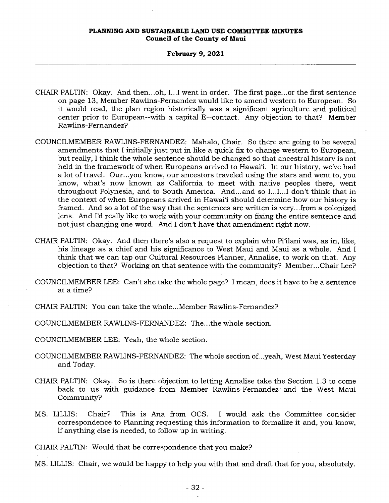#### **February 9, 2021**

- CHAIR PALTIN: Okay. And then...oh, I...I went in order. The first page...or the first sentence on page 13, Member Rawlins-Fernandez would like to amend western to European. So it would read, the plan region historically was a significant agriculture and political center prior to European--with a capital E--contact. Any objection to that? Member Rawlins-Fernandez?
- COUNCILMEMBER RAWLINS-FERNANDEZ: Mahalo, Chair. So there are going to be several amendments that I initially just put in like a quick fix to change western to European, but really, I think the whole sentence should be changed so that ancestral history is not held in the framework of when Europeans arrived to Hawai'i. In our history, we've had a lot of travel. Our...you know, our ancestors traveled using the stars and went to, you know, what's now known as California to meet with native peoples there, went throughout Polynesia, and to South America. And...and so I...I...I don't think that in the context of when Europeans arrived in Hawai'i should determine how our history is framed. And so a lot of the way that the sentences are written is very...from a colonized lens. And I'd really like to work with your community on fixing the entire sentence and not just changing one word. And I don't have that amendment right now.
- CHAIR PALTIN: Okay. And then there's also a request to explain who Pi'ilani was, as in, like, his lineage as a chief and his significance to West Maui and Maui as a whole. And I think that we can tap our Cultural Resources Planner, Annalise, to work on that. Any objection to that? Working on that sentence with the community? Member...Chair Lee?
- COUNCILMEMBER LEE: Can't she take the whole page? I mean, does it have to be a sentence at a time?

CHAIR PALTIN: You can take the whole...Member Rawlins-Fernandez?

COUNCILMEMBER RAWLINS-FERNANDEZ: The...the whole section.

COUNCILMEMBER LEE: Yeah, the whole section.

- COUNCILMEMBER RAWLINS-FERNANDEZ: The whole section of...yeah, West Maui Yesterday and Today.
- CHAIR PALTIN: Okay. So is there objection to letting Annalise take the Section 1.3 to come back to us with guidance from Member Rawlins-Fernandez and the West Maui Community?
- MS. LILLIS: Chair? This is Ana from OCS. I would ask the Committee consider correspondence to Planning requesting this information to formalize it and, you know, if anything else is needed, to follow up in writing.

CHAIR PALTIN: Would that be correspondence that you make?

MS. LILLIS: Chair, we would be happy to help you with that and draft that for you, absolutely.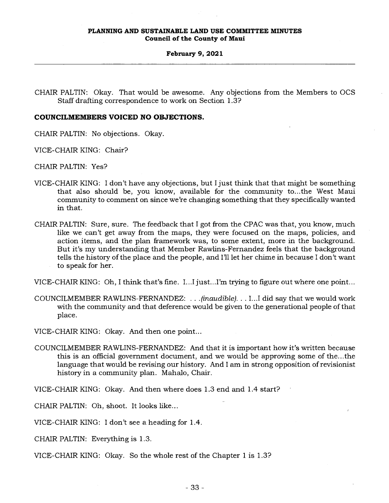CHAIR PALTIN: Okay. That would be awesome. Any objections from the Members to OCS Staff drafting correspondence to work on Section 1.3?

## **COUNCILMEMBERS VOICED NO OBJECTIONS.**

CHAIR PALTIN: No objections. Okay.

VICE-CHAIR KING: Chair?

CHAIR PALTIN: Yes?

- VICE-CHAIR KING: I don't have any objections, but I just think that that might be something that also should be, you know, available for the community to...the West Maui community to comment on since we're changing something that they specifically wanted in that.
- CHAIR PALTIN: Sure, sure. The feedback that I got from the CPAC was that, you know, much like we can't get away from the maps, they were focused on the maps, policies, and action items, and the plan framework was, to some extent, more in the background. But it's my understanding that Member Rawlins-Fernandez feels that the background tells the history of the place and the people, and I'll let her chime in because I don't want to speak for her.

VICE-CHAIR KING: Oh, I think that's fine. I...I just...I'm trying to figure out where one point...

- COUNCILMEMBER RAWLINS-FERNANDEZ: . . . *(inaudible). . .* I...I did say that we would work with the community and that deference would be given to the generational people of that place.
- VICE-CHAIR KING: Okay. And then one point...
- COUNCILMEMBER RAWLINS-FERNANDEZ: And that it is important how it's written because this is an official government document, and we would be approving some of the...the language that would be revising our history. And I am in strong opposition of revisionist history in a community plan. Mahalo, Chair.

VICE-CHAIR KING: Okay. And then where does 1.3 end and 1.4 start?

CHAIR PALTIN: Oh, shoot. It looks like...

VICE-CHAIR KING: I don't see a heading for 1.4.

CHAIR PALTIN: Everything is 1.3.

VICE-CHAIR KING: Okay. So the whole rest of the Chapter 1 is 1.3?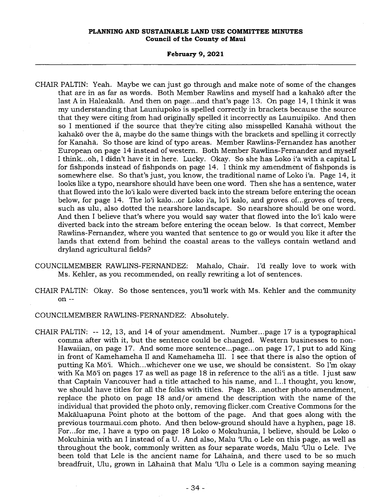#### **February 9, 2021**

- CHAIR PALTIN: Yeah. Maybe we can just go through and make note of some of the changes that are in as far as words. Both Member Rawlins and myself had a kahakō after the last A in Haleakala. And then on page...and that's page 13. On page 14, I think it was my understanding that Launiupoko is spelled correctly in brackets because the source that they were citing from had originally spelled it incorrectly as Launuipiko. And then so I mentioned if the source that they're citing also misspelled Kanaha without the kahakō over the  $\bar{a}$ , maybe do the same things with the brackets and spelling it correctly for Kanaha. So those are kind of typo areas. Member Rawlins-Fernandez has another European on page 14 instead of western. Both Member Rawlins-Fernandez and myself I think...oh, I didn't have it in here. Lucky. Okay. So she has Loko i'a with a capital L for fishponds instead of fishponds on page 14. I think my amendment of fishponds is somewhere else. So that's just, you know, the traditional name of Loko i`a. Page 14, it looks like a typo, nearshore should have been one word. Then she has a sentence, water that flowed into the lo`i kalo were diverted back into the stream before entering the ocean below, for page 14. The lo'i kalo...or Loko i'a, lo'i kalo, and groves of...groves of trees, such as ulu, also dotted the nearshore landscape. So nearshore should be one word. And then I believe that's where you would say water that flowed into the lo<sup>o</sup>i kalo were diverted back into the stream before entering the ocean below. Is that correct, Member Rawlins-Fernandez, where you wanted that sentence to go or would you like it after the lands that extend from behind the coastal areas to the valleys contain wetland and dryland agricultural fields?
- COUNCILMEMBER RAWLINS-FERNANDEZ: Mahalo, Chair. I'd really love to work with Ms. Kehler, as you recommended, on really rewriting a lot of sentences.
- CHAIR PALTIN: Okay. So those sentences, you'll work with Ms. Kehler and the community on --

COUNCILMEMBER RAWLINS-FERNANDEZ: Absolutely.

CHAIR PALTIN: -- 12, 13, and 14 of your amendment. Number...page 17 is a typographical comma after with it, but the sentence could be changed. Western businesses to non-Hawaiian, on page 17. And some more sentence...page...on page 17, I put to add King in front of Kamehameha II and Kamehameha III. I see that there is also the option of putting Ka Mō'i. Which...whichever one we use, we should be consistent. So I'm okay with Ka Mō<sup>'</sup>i on pages 17 as well as page 18 in reference to the ali<sup>'</sup>i as a title. I just saw that Captain Vancouver had a title attached to his name, and I...I thought, you know, we should have titles for all the folks with titles. Page 18...another photo amendment, replace the photo on page 18 and/or amend the description with the name of the individual that provided the photo only, removing flicker.com Creative Commons for the Makaluapuna Point photo at the bottom of the page. And that goes along with the previous tourmaui.com photo. And then below-ground should have a hyphen, page 18. For...for me, I have a typo on page 18 Loko o Mokuhunia, I believe, should be Loko o Mokuhinia with an I instead of a U. And also, Malu 'Ulu o Lele on this page, as well as throughout the book, commonly written as four separate words, Malu 'Ulu o Lele. I've been told that Lele is the ancient name for Lahaina, and there used to be so much breadfruit, Ulu, grown in Lahaina that Malu 'Ulu o Lele is a common saying meaning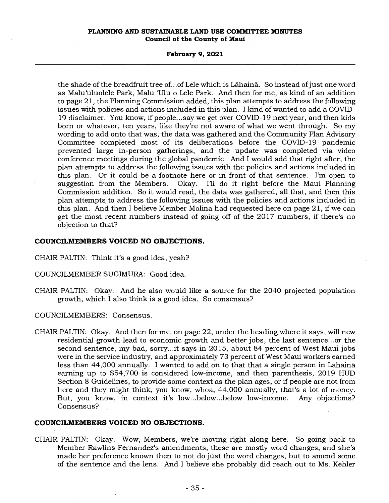### **February 9, 2021**

the shade of the breadfruit tree of...of Lele which is Lahaina. So instead of just one word as Malu'uluolele Park, Malu 'Ulu o Lele Park. And then for me, as kind of an addition to page 21, the Planning Commission added, this plan attempts to address the following issues with policies and actions included in this plan. I kind of wanted to add a COVID-19 disclaimer. You know, if people...say we get over COVID-19 next year, and then kids born or whatever, ten years, like they're not aware of what we went through. So my wording to add onto that was, the data was gathered and the Community Plan Advisory Committee completed most of its deliberations before the COVID-19 pandemic prevented large in-person gatherings, and the update was completed via video conference meetings during the global pandemic. And I would add that right after, the plan attempts to address the following issues with the policies and actions included in this plan. Or it could be a footnote here or in front of that sentence. I'm open to suggestion from the Members. Okay. I'll do it right before the Maui Planning Okay. I'll do it right before the Maui Planning Commission addition. So it would read, the data was gathered, all that, and then this plan attempts to address the following issues with the policies and actions included in this plan. And then I believe Member Molina had requested here on page 21, if we can get the most recent numbers instead of going off of the 2017 numbers, if there's no objection to that?

## **COUNCILMEMBERS VOICED NO OBJECTIONS.**

- CHAIR PALTIN: Think it's a good idea, yeah?
- COUNCILMEMBER SUGIMURA: Good idea.
- CHAIR PALTIN: Okay. And he also would like a source for the 2040 projected population growth, which I also think is a good idea. So consensus?

COUNCILMEMBERS: Consensus.

CHAIR PALTIN: Okay. And then for me, on page 22, under the heading where it says, will new residential growth lead to economic growth and better jobs, the last sentence...or the second sentence, my bad, sorry...it says in 2015, about 84 percent of West Maui jobs were in the service industry, and approximately 73 percent of West Maui workers earned less than 44,000 annually. I wanted to add on to that that a single person in Lahaina earning up to 854,700 is considered low-income, and then parenthesis, 2019 HUD Section 8 Guidelines, to provide some context as the plan ages, or if people are not from here and they might think, you know, whoa, 44,000 annually, that's a lot of money. But, you know, in context it's low...below...below low-income. Any objections? Consensus?

## **COUNCILMEMBERS VOICED NO OBJECTIONS.**

CHAIR PALTIN: Okay. Wow, Members, we're moving right along here. So going back to Member Rawlins-Fernandez's amendments, these are mostly word changes, and she's made her preference known then to not do just the word changes, but to amend some of the sentence and the lens. And I believe she probably did reach out to Ms. Kehler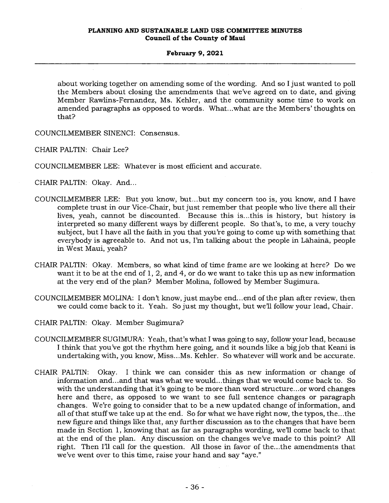about working together on amending some of the wording. And so I just wanted to poll the Members about closing the amendments that we've agreed on to date, and giving Member Rawlins-Fernandez, Ms. Kehler, and the community some time to work on amended paragraphs as opposed to words. What...what are the Members' thoughts on that?

COUNCILMEMBER SINENCI: Consensus.

CHAIR PALTIN: Chair Lee?

COUNCILMEMBER LEE: Whatever is most efficient and accurate.

CHAIR PALTIN: Okay. And...

- COUNCILMEMBER LEE: But you know, but...but my concern too is, you know, and I have complete trust in our Vice-Chair, but just remember that people who live there all their lives, yeah, cannot be discounted. Because this is...this is history, but history is interpreted so many different ways by different people. So that's, to me, a very touchy subject, but I have all the faith in you that you're going to come up with something that everybody is agreeable to. And not us, I'm talking about the people in Lahaina, people in West Maui, yeah?
- CHAIR PALTIN: Okay. Members, so what kind of time frame are we looking at here? Do we want it to be at the end of 1, 2, and 4, or do we want to take this up as new information at the very end of the plan? Member Molina, followed by Member Sugimura.
- COUNCILMEMBER MOLINA: I don't know, just maybe end...end of the plan after review, then we could come back to it. Yeah. So just my thought, but we'll follow your lead, Chair.
- CHAIR PALTIN: Okay. Member Sugimura?
- COUNCILMEMBER SUGIMURA: Yeah, that's what I was going to say, follow your lead, because I think that you've got the rhythm here going, and it sounds like a big job that Keani is undertaking with, you know, Miss...Ms. Kehler. So whatever will work and be accurate.
- CHAIR PALTIN: Okay. I think we can consider this as new information or change of information and...and that was what we would...things that we would come back to. So with the understanding that it's going to be more than word structure...or word changes here and there, as opposed to we want to see full sentence changes or paragraph changes. We're going to consider that to be a new updated change of information, and all of that stuff we take up at the end. So for what we have right now, the typos, the...the new figure and things like that, any further discussion as to the changes that have been made in Section 1, knowing that as far as paragraphs wording, we'll come back to that at the end of the plan. Any discussion on the changes we've made to this point? All right. Then I'll call for the question. All those in favor of the...the amendments that we've went over to this time, raise your hand and say "aye."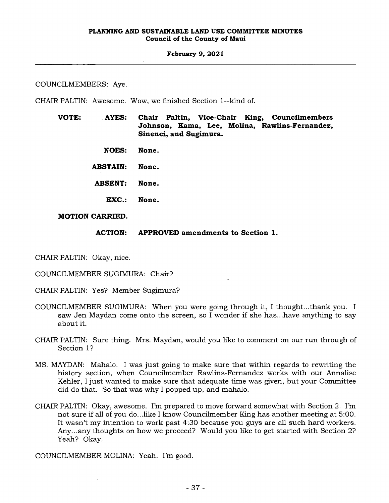COUNCILMEMBERS: Aye.

CHAIR PALTIN: Awesome. Wow, we finished Section 1--kind of.

- **VOTE: AYES: Chair Paltin, Vice-Chair King, Councilmembers Johnson, Kama, Lee, Molina, Rawlins-Fernandez, Sinenci, and Sugimura.** 
	- **NOES: None.**
	- **ABSTAIN: None.**
	- **ABSENT: None.** 
		- **EXC.: None.**

## **MOTION CARRIED.**

## **ACTION: APPROVED amendments to Section 1.**

CHAIR PALTIN: Okay, nice.

COUNCILMEMBER SUGIMURA: Chair?

CHAIR PALTIN: Yes? Member Sugimura?

- COUNCILMEMBER SUGIMURA: When you were going through it, I thought...thank you. I saw Jen Maydan come onto the screen, so I wonder if she has...have anything to say about it.
- CHAIR PALTIN: Sure thing. Mrs. Maydan, would you like to comment on our run through of Section 1?
- MS. MAYDAN: Mahalo. I was just going to make sure that within regards to rewriting the history section, when Councilmember Rawlins-Fernandez works with our Annalise Kehler, I just wanted to make sure that adequate time was given, but your Committee did do that. So that was why I popped up, and mahalo.
- CHAIR PALTIN: Okay, awesome. I'm prepared to move forward somewhat with Section 2. I'm not sure if all of you do...like I know Councilmember King has another meeting at 5:00. It wasn't my intention to work past 4:30 because you guys are all such hard workers. Any...any thoughts on how we proceed? Would you like to get started with Section 2? Yeah? Okay.

COUNCILMEMBER MOLINA: Yeah. I'm good.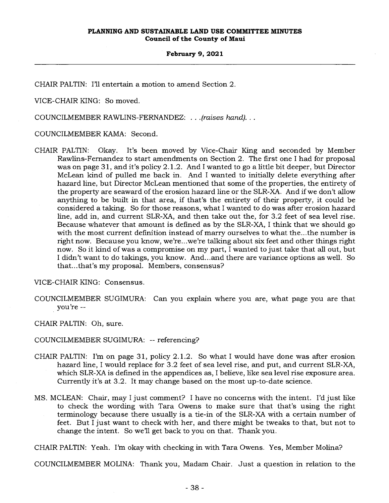CHAIR PALTIN: I'll entertain a motion to amend Section 2.

VICE-CHAIR KING: So moved.

COUNCILMEMBER RAWLINS-FERNANDEZ: . . *.(raises hand).. .* 

COUNCILMEMBER KAMA: Second.

CHAIR PALTIN: Okay. It's been moved by Vice-Chair King and seconded by Member Rawlins-Fernandez to start amendments on Section 2. The first one I had for proposal was on page 31, and it's policy 2.1.2. And I wanted to go a little bit deeper, but Director McLean kind of pulled me back in. And I wanted to initially delete everything after hazard line, but Director McLean mentioned that some of the properties, the entirety of the property are seaward of the erosion hazard line or the SLR-XA. And if we don't allow anything to be built in that area, if that's the entirety of their property, it could be considered a taking. So for those reasons, what I wanted to do was after erosion hazard line, add in, and current SLR-XA, and then take out the, for 3.2 feet of sea level rise. Because whatever that amount is defined as by the SLR-XA, I think that we should go with the most current definition instead of marry ourselves to what the...the number is right now. Because you know, we're...we're talking about six feet and other things right now. So it kind of was a compromise on my part, I wanted to just take that all out, but I didn't want to do takings, you know. And... and there are variance options as well. So that...that's my proposal. Members, consensus?

VICE-CHAIR KING: Consensus.

COUNCILMEMBER SUGIMURA: Can you explain where you are, what page you are that you're --

CHAIR PALTIN: Oh, sure.

COUNCILMEMBER SUGIMURA: -- referencing?

- CHAIR PALTIN: I'm on page 31, policy 2.1.2. So what I would have done was after erosion hazard line, I would replace for 3.2 feet of sea level rise, and put, and current SLR-XA, which SLR-XA is defined in the appendices as, I believe, like sea level rise exposure area. Currently it's at 3.2. It may change based on the most up-to-date science.
- MS. MCLEAN: Chair, may I just comment? I have no concerns with the intent. I'd just like to check the wording with Tara Owens to make sure that that's using the right terminology because there usually is a tie-in of the SLR-XA with a certain number of feet. But I just want to check with her, and there might be tweaks to that, but not to change the intent. So we'll get back to you on that. Thank you.

CHAIR PALTIN: Yeah. I'm okay with checking in with Tara Owens. Yes, Member Molina?

COUNCILMEMBER MOLINA: Thank you, Madam Chair. Just a question in relation to the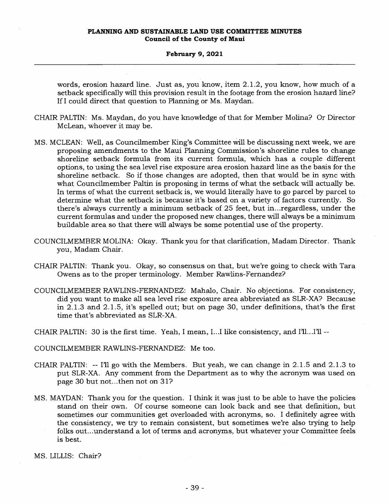#### **February 9, 2021**

words, erosion hazard line. Just as, you know, item 2.1.2, you know, how much of a setback specifically will this provision result in the footage from the erosion hazard line? If I could direct that question to Planning or Ms. Maydan.

- CHAIR PALTIN: Ms. Maydan, do you have knowledge of that for Member Molina? Or Director McLean, whoever it may be.
- MS. MCLEAN: Well, as Councilmember King's Committee will be discussing next week, we are proposing amendments to the Maui Planning Commission's shoreline rules to change shoreline setback formula from its current formula, which has a couple different options, to using the sea level rise exposure area erosion hazard line as the basis for the shoreline setback. So if those changes are adopted, then that would be in sync with what Councilmember Paltin is proposing in terms of what the setback will actually be. In terms of what the current setback is, we would literally have to go parcel by parcel to determine what the setback is because it's based on a variety of factors currently. So there's always currently a minimum setback of 25 feet, but in...regardless, under the current formulas and under the proposed new changes, there will always be a minimum buildable area so that there will always be some potential use of the property.
- COUNCILMEMBER MOLINA: Okay. Thank you for that clarification, Madam Director. Thank you, Madam Chair.
- CHAIR PALTIN: Thank you. Okay, so consensus on that, but we're going to check with Tara Owens as to the proper terminology. Member Rawlins-Fernandez?
- COUNCILMEMBER RAWLINS-FERNANDEZ: Mahalo, Chair. No objections. For consistency, did you want to make all sea level rise exposure area abbreviated as SLR-XA? Because in 2.1.3 and 2.1.5, it's spelled out; but on page 30, under definitions, that's the first time that's abbreviated as SLR-XA.
- CHAIR PALTIN: 30 is the first time. Yeah, I mean, I...I like consistency, and I'll...I'll --
- COUNCILMEMBER RAWLINS-FERNANDEZ: Me too.
- CHAIR PALTIN: -- I'll go with the Members. But yeah, we can change in 2.1.5 and 2.1.3 to put SLR-XA. Any comment from the Department as to why the acronym was used on page 30 but not...then not on 31?
- MS. MAYDAN: Thank you for the question. I think it was just to be able to have the policies stand on their own. Of course someone can look back and see that definition, but sometimes our communities get overloaded with acronyms, so. I definitely agree with the consistency, we try to remain consistent, but sometimes we're also trying to help folks out...understand a lot of terms and acronyms, but whatever your Committee feels is best.

MS. LILLIS: Chair?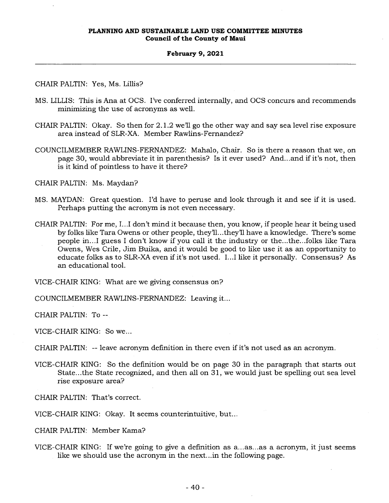## CHAIR PALTIN: Yes, Ms. Lillis?

- MS. LILLIS: This is Ana at OCS. I've conferred internally, and OCS concurs and recommends minimizing the use of acronyms as well.
- CHAIR PALTIN: Okay. So then for 2.1.2 we'll go the other way and say sea level rise exposure area instead of SLR-XA. Member Rawlins-Fernandez?
- COUNCILMEMBER RAWLINS-FERNANDEZ: Mahalo, Chair. So is there a reason that we, on page 30, would abbreviate it in parenthesis? Is it ever used? And...and if it's not, then is it kind of pointless to have it there?

CHAIR PALTIN: Ms. Maydan?

- MS. MAYDAN: Great question. I'd have to peruse and look through it and see if it is used. Perhaps putting the acronym is not even necessary.
- CHAIR PALTIN: For me, I...I don't mind it because then, you know, if people hear it being used by folks like Tara Owens or other people, they'll...they'll have a knowledge. There's some people in...I guess I don't know if you call it the industry or the...the...folks like Tara Owens, Wes Crile, Jim Buika, and it would be good to like use it as an opportunity to educate folks as to SLR-XA even if it's not used. I...I like it personally. Consensus? As an educational tool.

VICE-CHAIR KING: What are we giving consensus on?

COUNCILMEMBER RAWLINS-FERNANDEZ: Leaving it...

CHAIR PALTIN: To --

VICE-CHAIR KING: So we...

CHAIR PALTIN: -- leave acronym definition in there even if it's not used as an acronym.

VICE-CHAIR KING: So the definition would be on page 30 in the paragraph that starts out State...the State recognized, and then all on 31, we would just be spelling out sea level rise exposure area?

CHAIR PALTIN: That's correct.

VICE-CHAIR KING: Okay. It seems counterintuitive, but...

CHAIR PALTIN: Member Kama?

VICE-CHAIR KING: If we're going to give a definition as a...as...as a acronym, it just seems like we should use the acronym in the next...in the following page.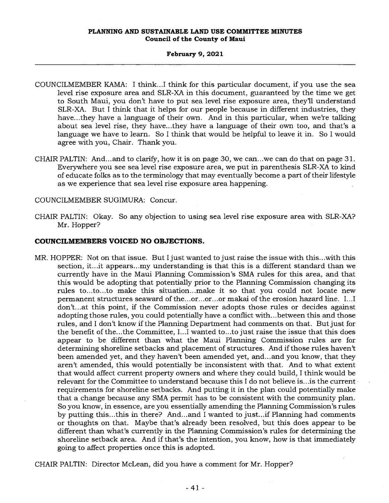### **February 9, 2021**

- COUNCILMEMBER KAMA: I think...I think for this particular document, if you use the sea level rise exposure area and SLR-XA in this document, guaranteed by the time we get to South Maui, you don't have to put sea level rise exposure area, they'll understand SLR-XA. But I think that it helps for our people because in different industries, they have...they have a language of their own. And in this particular, when we're talking about sea level rise, they have...they have a language of their own too, and that's a language we have to learn. So I think that would be helpful to leave it in. So I would agree with you, Chair. Thank you.
- CHAIR PALTIN: And...and to clarify, how it is on page 30, we can...we can do that on page 31. Everywhere you see sea level rise exposure area, we put in parenthesis SLR-XA to kind of educate folks as to the terminology that may eventually become a part of their lifestyle as we experience that sea level rise exposure area happening.
- COUNCILMEMBER SUGIMURA: Concur.
- CHAIR PALTIN: Okay. So any objection to using sea level rise exposure area with SLR-XA? Mr. Hopper?

## **COUNCILMEMBERS VOICED NO OBJECTIONS.**

MR. HOPPER: Not on that issue. But I just wanted to just raise the issue with this...with this section, it...it appears...my understanding is that this is a different standard than we currently have in the Maui Planning Commission's SMA rules for this area, and that this would be adopting that potentially prior to the Planning Commission changing its rules to...to...to make this situation...make it so that you could not locate new permanent structures seaward of the...or...or...or makai of the erosion hazard line. I...I don't...at this point, if the Commission never adopts those rules or decides against adopting those rules, you could potentially have a conflict with...between this and those rules, and I don't know if the Planning Department had comments on that. But just for the benefit of the...the Committee, I...I wanted to...to just raise the issue that this does appear to be different than what the Maui Planning Commission rules are for determining shoreline setbacks and placement of structures. And if those rules haven't been amended yet, and they haven't been amended yet, and...and you know, that they aren't amended, this would potentially be inconsistent with that. And to what extent that would affect current property owners and where they could build, I think would be relevant for the Committee to understand because this I do not believe is...is the current requirements for shoreline setbacks. And putting it in the plan could potentially make that a change because any SMA permit has to be consistent with the community plan. So you know, in essence, are you essentially amending the Planning Commission's rules by putting this...this in there? And...and I wanted to just...if Planning had comments or thoughts on that. Maybe that's already been resolved, but this does appear to be different than what's currently in the Planning Commission's rules for determining the shoreline setback area. And if that's the intention, you know, how is that immediately going to affect properties once this is adopted.

CHAIR PALTIN: Director McLean, did you have a comment for Mr. Hopper?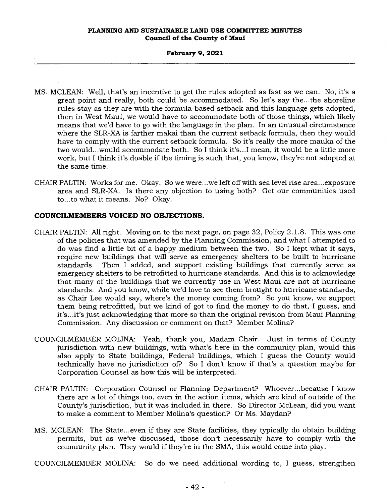- MS. MCLEAN: Well, that's an incentive to get the rules adopted as fast as we can. No, it's a great point and really, both could be accommodated. So let's say the...the shoreline rules stay as they are with the formula-based setback and this language gets adopted, then in West Maui, we would have to accommodate both of those things, which likely means that we'd have to go with the language in the plan. In an unusual circumstance where the SLR-XA is farther makai than the current setback formula, then they would have to comply with the current setback formula. So it's really the more mauka of the two would...would accommodate both. So I think it's...I mean, it would be a little more work, but I think it's doable if the timing is such that, you know, they're not adopted at the same time.
- CHAIR PALTIN: Works for me. Okay. So we were...we left off with sea level rise area...exposure area and SLR-XA. Is there any objection to using both? Get our communities used to...to what it means. No? Okay.

## **COUNCILMEMBERS VOICED NO OBJECTIONS.**

- CHAIR PALTIN: All right. Moving on to the next page, on page 32, Policy 2.1.8. This was one of the policies that was amended by the Planning Commission, and what I attempted to do was find a little bit of a happy medium between the two. So I kept what it says, require new buildings that will serve as emergency shelters to be built to hurricane standards. Then I added, and support existing buildings that currently serve as emergency shelters to be retrofitted to hurricane standards. And this is to acknowledge that many of the buildings that we currently use in West Maui are not at hurricane standards. And you know, while we'd love to see them brought to hurricane standards, as Chair Lee would say, where's the money coming from? So you know, we support them being retrofitted, but we kind of got to find the money to do that, I guess, and it's...it's just acknowledging that more so than the original revision from Maui Planning Commission. Any discussion or comment on that? Member Molina?
- COUNCILMEMBER MOLINA: Yeah, thank you, Madam Chair. Just in terms of County jurisdiction with new buildings, with what's here in the community plan, would this also apply to State buildings, Federal buildings, which I guess the County would technically have no jurisdiction of? So I don't know if that's a question maybe for Corporation Counsel as how this will be interpreted.
- CHAIR PALTIN: Corporation Counsel or Planning Department? Whoever...because I know there are a lot of things too, even in the action items, which are kind of outside of the County's jurisdiction, but it was included in there. So Director McLean, did you want to make a comment to Member Molina's question? Or Ms. Maydan?
- MS. MCLEAN: The State...even if they are State facilities, they typically do obtain building permits, but as we've discussed, those don't necessarily have to comply with the community plan. They would if they're in the SMA, this would come into play.

COUNCILMEMBER MOLINA: So do we need additional wording to, I guess, strengthen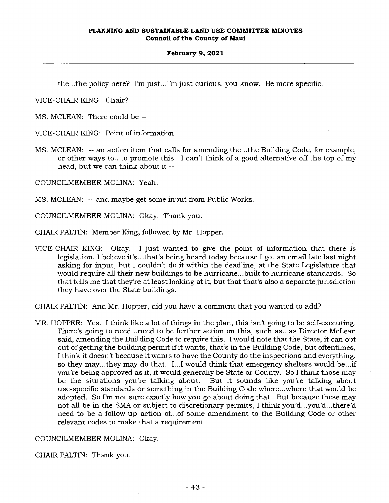the...the policy here? I'm just...I'm just curious, you know. Be more specific.

VICE-CHAIR KING: Chair?

MS. MCLEAN: There could be --

VICE-CHAIR KING: Point of information.

MS. MCLEAN: -- an action item that calls for amending the...the Building Code, for example, or other ways to...to promote this. I can't think of a good alternative off the top of my head, but we can think about it --

COUNCILMEMBER MOLINA: Yeah.

MS. MCLEAN: -- and maybe get some input from Public Works.

COUNCILMEMBER MOLINA: Okay. Thank you.

CHAIR PALTIN: Member King, followed by Mr. Hopper.

VICE-CHAIR KING: Okay. I just wanted to give the point of information that there is legislation, I believe it's...that's being heard today because I got an email late last night asking for input, but I couldn't do it within the deadline, at the State Legislature that would require all their new buildings to be hurricane...built to hurricane standards. So that tells me that they're at least looking at it, but that that's also a separate jurisdiction they have over the State buildings.

CHAIR PALTIN: And Mr. Hopper, did you have a comment that you wanted to add?

MR. HOPPER: Yes. I think like a lot of things in the plan, this isn't going to be self-executing. There's going to need...need to be further action on this, such as...as Director McLean said, amending the Building Code to require this. I would note that the State, it can opt out of getting the building permit if it wants, that's in the Building Code, but oftentimes, I think it doesn't because it wants to have the County do the inspections and everything, so they may...they may do that. I...I would think that emergency shelters would be...if you're being approved as it, it would generally be State or County. So I think those may be the situations you're talking about. But it sounds like you're talking about use-specific standards or something in the Building Code where...where that would be adopted. So I'm not sure exactly how you go about doing that. But because these may not all be in the SMA or subject to discretionary permits, I think you'd...you'd...there'd need to be a follow-up action of...of some amendment to the Building Code or other relevant codes to make that a requirement.

COUNCILMEMBER MOLINA: Okay.

CHAIR PALTIN: Thank you.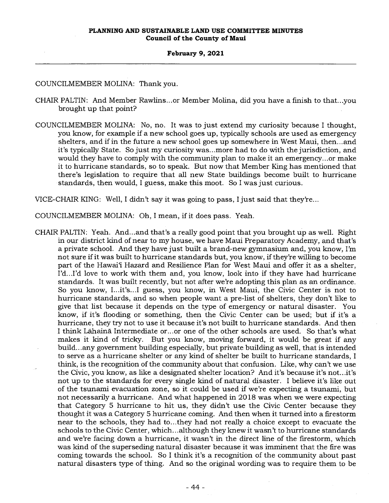COUNCILMEMBER MOLINA: Thank you.

- CHAIR PALTIN: And Member Rawlins...or Member Molina, did you have a finish to that...you brought up that point?
- COUNCILMEMBER MOLINA: No, no. It was to just extend my curiosity because I thought, you know, for example if a new school goes up, typically schools are used as emergency shelters, and if in the future a new school goes up somewhere in West Maui, then...and it's typically State. So just my curiosity was...more had to do with the jurisdiction, and would they have to comply with the community plan to make it an emergency...or make it to hurricane standards, so to speak. But now that Member King has mentioned that there's legislation to require that all new State buildings become built to hurricane standards, then would, I guess, make this moot. So I was just curious.

VICE-CHAIR KING: Well, I didn't say it was going to pass, I just said that they're...

COUNCILMEMBER MOLINA: Oh, I mean, if it does pass. Yeah.

CHAIR PALTIN: Yeah. And...and that's a really good point that you brought up as well. Right in our district kind of near to my house, we have Maui Preparatory Academy, and that's a private school. And they have just built a brand-new gymnasium and, you know, I'm not sure if it was built to hurricane standards but, you know, if they're willing to become part of the Hawai'i Hazard and Resilience Plan for West Maui and offer it as a shelter, I'd...I'd love to work with them and, you know, look into if they have had hurricane standards. It was built recently, but not after we're adopting this plan as an ordinance. So you know, I...it's...I guess, you know, in West Maui, the Civic Center is not to hurricane standards, and so when people want a pre-list of shelters, they don't like to give that list because it depends on the type of emergency or natural disaster. You know, if it's flooding or something, then the Civic Center can be used; but if it's a hurricane, they try not to use it because it's not built to hurricane standards. And then I think Lahaina Intermediate or...or one of the other schools are used. So that's what makes it kind of tricky. But you know, moving forward, it would be great if any build...any government building especially, but private building as well, that is intended to serve as a hurricane shelter or any kind of shelter be built to hurricane standards, I think, is the recognition of the community about that confusion. Like, why can't we use the Civic, you know, as like a designated shelter location? And it's because it's not...it's not up to the standards for every single kind of natural disaster. I believe it's like out of the tsunami evacuation zone, so it could be used if we're expecting a tsunami, but not necessarily a hurricane. And what happened in 2018 was when we were expecting that Category 5 hurricane to hit us, they didn't use the Civic Center because they thought it was a Category 5 hurricane coming. And then when it turned into a firestorm near to the schools, they had to...they had not really a choice except to evacuate the schools to the Civic Center, which...although they knew it wasn't to hurricane standards and we're facing down a hurricane, it wasn't in the direct line of the firestorm, which was kind of the superseding natural disaster because it was imminent that the fire was coming towards the school. So I think it's a recognition of the community about past natural disasters type of thing. And so the original wording was to require them to be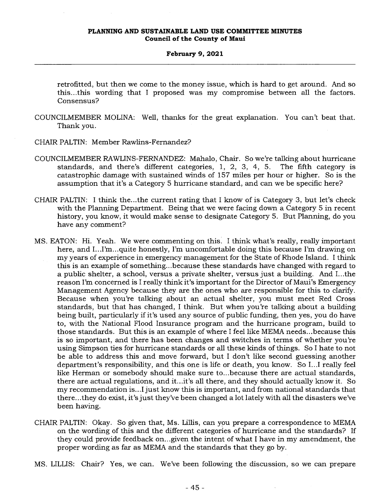#### **February 9, 2021**

retrofitted, but then we come to the money issue, which is hard to get around. And so this...this wording that I proposed was my compromise between all the factors. Consensus?

- COUNCILMEMBER MOLINA: Well, thanks for the great explanation. You can't beat that. Thank you.
- CHAIR PALTIN: Member Rawlins-Fernandez?
- COUNCILMEMBER RAWLINS-FERNANDEZ: Mahalo, Chair. So we're talking about hurricane standards, and there's different categories, 1, 2, 3, 4, 5. The fifth category is catastrophic damage with sustained winds of 157 miles per hour or higher. So is the assumption that it's a Category 5 hurricane standard, and can we be specific here?
- CHAIR PALTIN: I think the...the current rating that I know of is Category 3, but let's check with the Planning Department. Being that we were facing down a Category 5 in recent history, you know, it would make sense to designate Category 5. But Planning, do you have any comment?
- MS. EATON: Hi. Yeah. We were commenting on this. I think what's really, really important here, and I...I'm...quite honestly, I'm uncomfortable doing this because I'm drawing on my years of experience in emergency management for the State of Rhode Island. I think this is an example of something...because these standards have changed with regard to a public shelter, a school, versus a private shelter, versus just a building. And I...the reason I'm concerned is I really think it's important for the Director of Maui's Emergency Management Agency because they are the ones who are responsible for this to clarify. Because when you're talking about an actual shelter, you must meet Red Cross standards, but that has changed, I think. But when you're talking about a building being built, particularly if it's used any source of public funding, then yes, you do have to, with the National Flood Insurance program and the hurricane program, build to those standards. But this is an example of where I feel like MEMA needs...because this is so important, and there has been changes and switches in terms of whether you're using Simpson ties for hurricane standards or all these kinds of things. So I hate to not be able to address this and move forward, but I don't like second guessing another department's responsibility, and this one is life or death, you know. So I...I really feel like Herman or somebody should make sure to...because there are actual standards, there are actual regulations, and it...it's all there, and they should actually know it. So my recommendation is...I just know this is important, and from national standards that there...they do exist, it's just they've been changed a lot lately with all the disasters we've been having.
- CHAIR PALTIN: Okay. So given that, Ms. Lillis, can you prepare a correspondence to MEMA on the wording of this and the different categories of hurricane and the standards? If they could provide feedback on...given the intent of what I have in my amendment, the proper wording as far as MEMA and the standards that they go by.
- MS. LILLIS: Chair? Yes, we can. We've been following the discussion, so we can prepare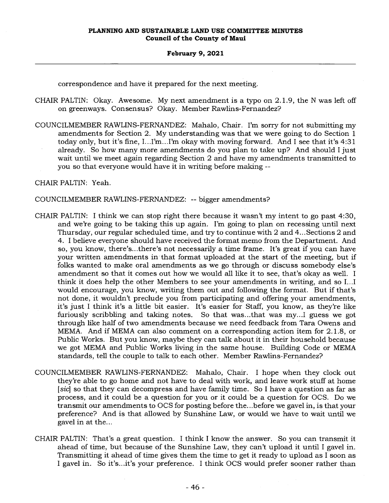correspondence and have it prepared for the next meeting.

- CHAIR PALTIN: Okay. Awesome. My next amendment is a typo on 2.1.9, the N was left off on greenways. Consensus? Okay. Member Rawlins-Fernandez?
- COUNCILMEMBER RAWLINS-FERNANDEZ: Mahalo, Chair. I'm sorry for not submitting my amendments for Section 2. My understanding was that we were going to do Section 1 today only, but it's fine, I...I'm...I'm okay with moving forward. And I see that it's 4:31 already. So how many more amendments do you plan to take up? And should I just wait until we meet again regarding Section 2 and have my amendments transmitted to you so that everyone would have it in writing before making --

CHAIR PALTIN: Yeah.

COUNCILMEMBER RAWLINS-FERNANDEZ: -- bigger amendments?

- CHAIR PALTIN: I think we can stop right there because it wasn't my intent to go past 4:30, and we're going to be taking this up again. I'm going to plan on recessing until next Thursday, our regular scheduled time, and try to continue with 2 and 4...Sections 2 and 4. I believe everyone should have received the format memo from the Department. And so, you know, there's...there's not necessarily a time frame. It's great if you can have your written amendments in that format uploaded at the start of the meeting, but if folks wanted to make oral amendments as we go through or discuss somebody else's amendment so that it comes out how we would all like it to see, that's okay as well. I think it does help the other Members to see your amendments in writing, and so I...I would encourage, you know, writing them out and following the format. But if that's not done, it wouldn't preclude you from participating and offering your amendments, it's just I think it's a little bit easier. It's easier for Staff, you know, as they're like furiously scribbling and taking notes. So that was...that was my...I guess we got through like half of two amendments because we need feedback from Tara Owens and MEMA. And if MEMA can also comment on a corresponding action item for 2.1.8, or Public Works. But you know, maybe they can talk about it in their household because we got MEMA and Public Works living in the same house. Building Code or MEMA standards, tell the couple to talk to each other. Member Rawlins-Fernandez?
- COUNCILMEMBER RAWLINS-FERNANDEZ: Mahalo, Chair. I hope when they clock out they're able to go home and not have to deal with work, and leave work stuff at home *[sic]* so that they can decompress and have family time. So I have a question as far as process, and it could be a question for you or it could be a question for OCS. Do we transmit our amendments to OCS for posting before the...before we gavel in, is that your preference? And is that allowed by Sunshine Law, or would we have to wait until we gavel in at the...
- CHAIR PALTIN: That's a great question. I think I know the answer. So you can transmit it ahead of time, but because of the Sunshine Law, they can't upload it until I gavel in. Transmitting it ahead of time gives them the time to get it ready to upload as I soon as I gavel in. So it's...it's your preference. I think OCS would prefer sooner rather than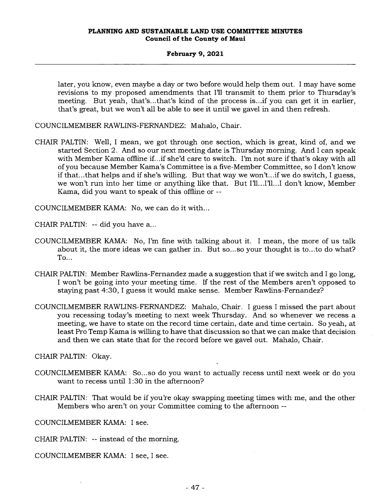### **February 9, 2021**

later, you know, even maybe a day or two before would help them out. I may have some revisions to my proposed amendments that I'll transmit to them prior to Thursday's meeting. But yeah, that's...that's kind of the process is...if you can get it in earlier, that's great, but we won't all be able to see it until we gavel in and then refresh.

COUNCILMEMBER RAWLINS-FERNANDEZ: Mahalo, Chair.

CHAIR PALTIN: Well, I mean, we got through one section, which is great, kind of, and we started Section 2. And so our next meeting date is Thursday morning. And I can speak with Member Kama offline if...if she'd care to switch. I'm not sure if that's okay with all of you because Member Kama's Committee is a five-Member Committee, so I don't know if that...that helps and if she's willing. But that way we won't...if we do switch, I guess, we won't run into her time or anything like that. But I'll...I'll...I don't know, Member Kama, did you want to speak of this offline or --

COUNCILMEMBER KAMA: No, we can do it with...

CHAIR PALTIN: -- did you have a...

- COUNCILMEMBER KAMA: No, I'm fine with talking about it. I mean, the more of us talk about it, the more ideas we can gather in. But so...so your thought is to...to do what? To...
- CHAIR PALTIN: Member Rawlins-Fernandez made a suggestion that if we switch and I go long, I won't be going into your meeting time. If the rest of the Members aren't opposed to staying past 4:30, I guess it would make sense. Member Rawlins-Fernandez?
- COUNCILMEMBER RAWLINS-FERNANDEZ: Mahalo, Chair. I guess I missed the part about you recessing today's meeting to next week Thursday. And so whenever we recess a meeting, we have to state on the record time certain, date and time certain. So yeah, at least Pro Temp Kama is willing to have that discussion so that we can make that decision and then we can state that for the record before we gavel out. Mahalo, Chair.

CHAIR PALTIN: Okay.

- COUNCILMEMBER KAMA: So...so do you want to actually recess until next week or do you want to recess until 1:30 in the afternoon?
- CHAIR PALTIN: That would be if you're okay swapping meeting times with me, and the other Members who aren't on your Committee coming to the afternoon --

COUNCILMEMBER KAMA: I see.

CHAIR PALTIN: -- instead of the morning.

COUNCILMEMBER KAMA: I see, I see.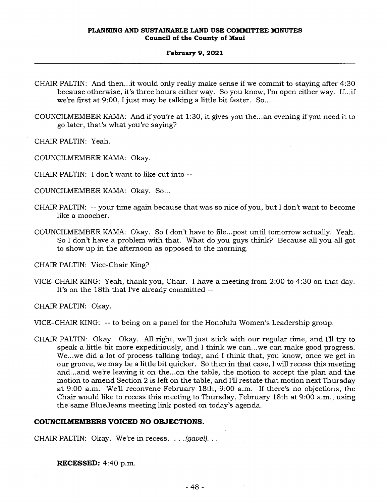### **February 9, 2021**

CHAIR PALTIN: And then...it would only really make sense if we commit to staying after 4:30 because otherwise, it's three hours either way. So you know, I'm open either way. If...if we're first at 9:00, I just may be talking a little bit faster. So...

COUNCILMEMBER KAMA: And if you're at 1:30, it gives you the...an evening if you need it to go later, that's what you're saying?

CHAIR PALTIN: Yeah.

COUNCILMEMBER KAMA: Okay.

CHAIR PALTIN: I don't want to like cut into --

COUNCILMEMBER KAMA: Okay. So...

- CHAIR PALTIN: -- your time again because that was so nice of you, but I don't want to become like a moocher.
- COUNCILMEMBER KAMA: Okay. So I don't have to file...post until tomorrow actually. Yeah. So I don't have a problem with that. What do you guys think? Because all you all got to show up in the afternoon as opposed to the morning.

CHAIR PALTIN: Vice-Chair King?

VICE-CHAIR KING: Yeah, thank you, Chair. I have a meeting from 2:00 to 4:30 on that day. It's on the 18th that I've already committed --

CHAIR PALTIN: Okay.

VICE-CHAIR KING: -- to being on a panel for the Honolulu Women's Leadership group.

CHAIR PALTIN: Okay. Okay. All right, well just stick with our regular time, and I'll try to speak a little bit more expeditiously, and I think we can...we can make good progress. We...we did a lot of process talking today, and I think that, you know, once we get in our groove, we may be a little bit quicker. So then in that case, I will recess this meeting and...and we're leaving it on the...on the table, the motion to accept the plan and the motion to amend Section 2 is left on the table, and I'll restate that motion next Thursday at 9:00 a.m. Well reconvene February 18th, 9:00 a.m. If there's no objections, the Chair would like to recess this meeting to Thursday, February 18th at 9:00 a.m., using the same BlueJeans meeting link posted on today's agenda.

## **COUNCILMEMBERS VOICED NO OBJECTIONS.**

CHAIR PALTIN: Okay. We're in recess. . . *.(gavel). . .* 

**RECESSED:** 4:40 p.m.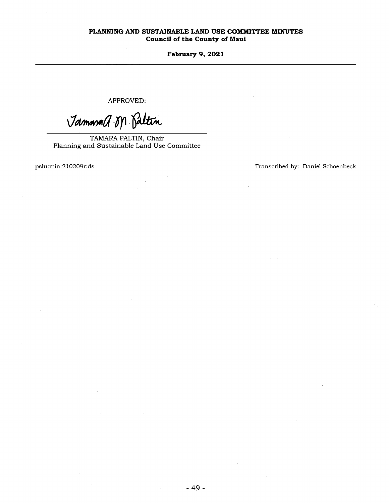**February 9, 2021** 

APPROVED:

Jammand M. Paltin

TAMARA PALTIN, Chair Planning and Sustainable Land Use Committee

pslu:min:210209r:ds Transcribed by: Daniel Schoenbeck